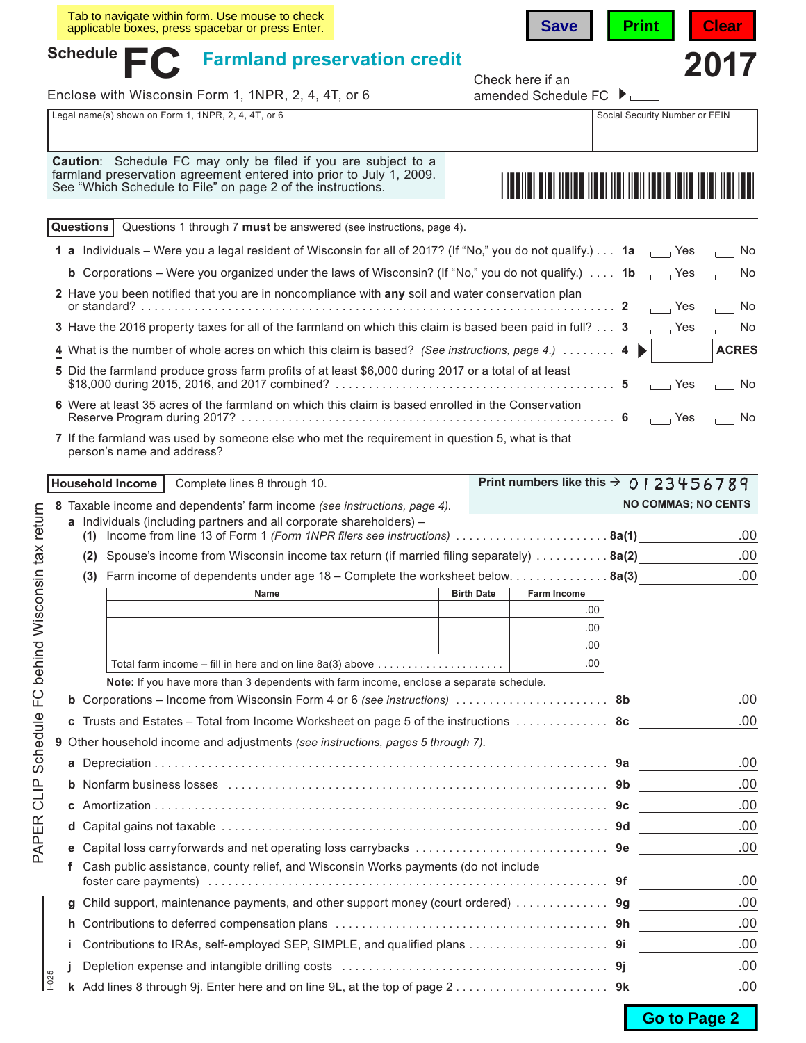|           | Tab to navigate within form. Use mouse to check<br>applicable boxes, press spacebar or press Enter.                                                                                                                                                  | <b>Save</b>                                        | <b>Print</b>                   | <b>Clear</b>                |
|-----------|------------------------------------------------------------------------------------------------------------------------------------------------------------------------------------------------------------------------------------------------------|----------------------------------------------------|--------------------------------|-----------------------------|
| Schedule  | <b>Farmland preservation credit</b>                                                                                                                                                                                                                  |                                                    |                                | 2017                        |
|           | Enclose with Wisconsin Form 1, 1NPR, 2, 4, 4T, or 6                                                                                                                                                                                                  | Check here if an<br>amended Schedule FC ▶ □        |                                |                             |
|           | Legal name(s) shown on Form 1, 1NPR, 2, 4, 4T, or 6                                                                                                                                                                                                  |                                                    | Social Security Number or FEIN |                             |
|           | Caution: Schedule FC may only be filed if you are subject to a<br>farmland preservation agreement entered into prior to July 1, 2009.<br>See "Which Schedule to File" on page 2 of the instructions.                                                 |                                                    |                                |                             |
| Questions | Questions 1 through 7 must be answered (see instructions, page 4).                                                                                                                                                                                   |                                                    |                                |                             |
|           | 1 a Individuals – Were you a legal resident of Wisconsin for all of 2017? (If "No," you do not qualify.) 1a ____ Yes                                                                                                                                 |                                                    |                                | $\overline{\phantom{a}}$ No |
|           | <b>b</b> Corporations – Were you organized under the laws of Wisconsin? (If "No," you do not qualify.) $\ldots$ 1b                                                                                                                                   |                                                    |                                | $\overline{\phantom{0}}$ No |
|           | 2 Have you been notified that you are in noncompliance with any soil and water conservation plan                                                                                                                                                     |                                                    | $\overline{\phantom{a}}$ Yes   | $\overline{\phantom{0}}$ No |
|           | 3 Have the 2016 property taxes for all of the farmland on which this claim is based been paid in full? 3                                                                                                                                             |                                                    | $\Box$ Yes                     | $\Box$ No                   |
|           | 4 What is the number of whole acres on which this claim is based? (See instructions, page 4.)  4                                                                                                                                                     |                                                    |                                | <b>ACRES</b>                |
|           | 5 Did the farmland produce gross farm profits of at least \$6,000 during 2017 or a total of at least                                                                                                                                                 |                                                    | $\Box$ Yes                     | $\overline{\phantom{0}}$ No |
|           | 6 Were at least 35 acres of the farmland on which this claim is based enrolled in the Conservation                                                                                                                                                   |                                                    | $\Box$ Yes                     | $\overline{\phantom{0}}$ No |
|           | 7 If the farmland was used by someone else who met the requirement in question 5, what is that<br>person's name and address?<br><u> 1980 - Jan James James Barbara, político establecente de la propia de la propia de la propia de la propia de</u> |                                                    |                                |                             |
|           | <b>Household Income</b>                                                                                                                                                                                                                              | Print numbers like this $\rightarrow$ 0   23456789 |                                |                             |
|           | Complete lines 8 through 10.                                                                                                                                                                                                                         |                                                    | <b>NO COMMAS; NO CENTS</b>     |                             |
|           | 8 Taxable income and dependents' farm income (see instructions, page 4).<br>a Individuals (including partners and all corporate shareholders) -                                                                                                      |                                                    |                                |                             |
|           | (1) Income from line 13 of Form 1 (Form 1NPR filers see instructions) $\ldots \ldots \ldots \ldots \ldots \ldots$ 8a(1)                                                                                                                              |                                                    |                                | .00                         |
|           | (2) Spouse's income from Wisconsin income tax return (if married filing separately) 8a(2)                                                                                                                                                            |                                                    |                                | .00                         |
|           | (3) Farm income of dependents under age $18$ – Complete the worksheet below. 8a(3)                                                                                                                                                                   |                                                    |                                | .00                         |
|           | <b>Name Solution Contract Contract Contract Contract Contract Contract Contract Contract Contract Contract Contract Contract Contract Contract Contract Contract Contract Contract Contract Contract Contract Contract Contrac</b>                   |                                                    |                                |                             |
|           |                                                                                                                                                                                                                                                      | .00<br>.00                                         |                                |                             |
|           |                                                                                                                                                                                                                                                      | .00                                                |                                |                             |
|           | Total farm income $-$ fill in here and on line 8a(3) above $\ldots \ldots \ldots \ldots \ldots \ldots$                                                                                                                                               | .00                                                |                                |                             |
|           | Note: If you have more than 3 dependents with farm income, enclose a separate schedule.                                                                                                                                                              |                                                    |                                |                             |
| b         |                                                                                                                                                                                                                                                      |                                                    |                                | .00                         |
| c         | Trusts and Estates – Total from Income Worksheet on page 5 of the instructions  8c                                                                                                                                                                   |                                                    |                                | .00                         |
|           | 9 Other household income and adjustments (see instructions, pages 5 through 7).                                                                                                                                                                      |                                                    |                                |                             |
| а         |                                                                                                                                                                                                                                                      |                                                    |                                | .00                         |
| b         |                                                                                                                                                                                                                                                      |                                                    |                                | .00                         |
| С         |                                                                                                                                                                                                                                                      |                                                    |                                | .00                         |
| d         |                                                                                                                                                                                                                                                      |                                                    |                                | .00                         |
| е         |                                                                                                                                                                                                                                                      |                                                    |                                | .00                         |
| f         | Cash public assistance, county relief, and Wisconsin Works payments (do not include                                                                                                                                                                  |                                                    |                                | .00                         |
| g         | Child support, maintenance payments, and other support money (court ordered)  9g                                                                                                                                                                     |                                                    |                                | .00                         |
| n         |                                                                                                                                                                                                                                                      |                                                    |                                | .00                         |
|           | Contributions to IRAs, self-employed SEP, SIMPLE, and qualified plans 91                                                                                                                                                                             |                                                    |                                | .00                         |
|           |                                                                                                                                                                                                                                                      |                                                    |                                | .00                         |
| $1 - 025$ | k Add lines 8 through 9j. Enter here and on line 9L, at the top of page $2, \ldots, \ldots, \ldots, \ldots, \ldots$ .                                                                                                                                |                                                    |                                | .00                         |
|           |                                                                                                                                                                                                                                                      |                                                    |                                |                             |

PAPER CLIP Schedule FC behind Wisconsin tax return PAPER CLIP Schedule FC behind Wisconsin tax return

Go to Page 2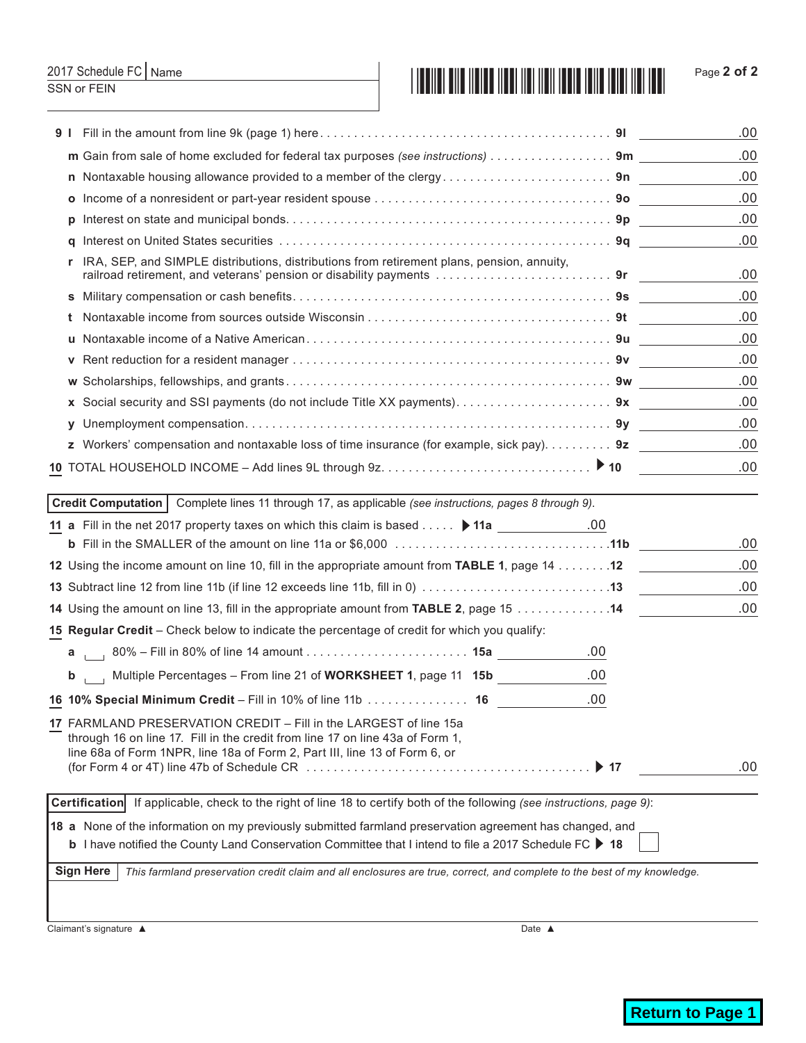### Name

SSN or FEIN

## 2017 Schedule FC Page **2 of 2**

|    |                                                                                                                                                                                                                                                                                                                                                                               | .00        |
|----|-------------------------------------------------------------------------------------------------------------------------------------------------------------------------------------------------------------------------------------------------------------------------------------------------------------------------------------------------------------------------------|------------|
|    | m Gain from sale of home excluded for federal tax purposes (see instructions) 9m                                                                                                                                                                                                                                                                                              | .00        |
|    | n Nontaxable housing allowance provided to a member of the clergy9n                                                                                                                                                                                                                                                                                                           | .00        |
|    |                                                                                                                                                                                                                                                                                                                                                                               | .00        |
| Ŋ  |                                                                                                                                                                                                                                                                                                                                                                               | .00        |
| a  |                                                                                                                                                                                                                                                                                                                                                                               | .00        |
| r. | IRA, SEP, and SIMPLE distributions, distributions from retirement plans, pension, annuity,                                                                                                                                                                                                                                                                                    | .00        |
|    |                                                                                                                                                                                                                                                                                                                                                                               | .00        |
|    |                                                                                                                                                                                                                                                                                                                                                                               | .00        |
|    |                                                                                                                                                                                                                                                                                                                                                                               | .00        |
| v  |                                                                                                                                                                                                                                                                                                                                                                               | .00        |
|    |                                                                                                                                                                                                                                                                                                                                                                               | .00        |
|    |                                                                                                                                                                                                                                                                                                                                                                               | .00        |
|    |                                                                                                                                                                                                                                                                                                                                                                               | .00        |
|    | z Workers' compensation and nontaxable loss of time insurance (for example, sick pay). 9z                                                                                                                                                                                                                                                                                     | .00        |
|    |                                                                                                                                                                                                                                                                                                                                                                               | .00        |
|    |                                                                                                                                                                                                                                                                                                                                                                               |            |
|    | Credit Computation   Complete lines 11 through 17, as applicable (see instructions, pages 8 through 9).                                                                                                                                                                                                                                                                       |            |
|    |                                                                                                                                                                                                                                                                                                                                                                               |            |
|    | <b>b</b> Fill in the SMALLER of the amount on line 11a or \$6,000 $\ldots \ldots \ldots \ldots \ldots \ldots \ldots \ldots \ldots \ldots \ldots$                                                                                                                                                                                                                              | .00<br>.00 |
|    | 12 Using the income amount on line 10, fill in the appropriate amount from TABLE 1, page 14 12                                                                                                                                                                                                                                                                                | .00        |
|    |                                                                                                                                                                                                                                                                                                                                                                               | .00        |
|    | 14 Using the amount on line 13, fill in the appropriate amount from TABLE 2, page 15 14                                                                                                                                                                                                                                                                                       |            |
|    | 15 Regular Credit - Check below to indicate the percentage of credit for which you qualify:<br>.00                                                                                                                                                                                                                                                                            |            |
|    |                                                                                                                                                                                                                                                                                                                                                                               |            |
| b  | .00<br>Multiple Percentages – From line 21 of WORKSHEET 1, page 11 15b                                                                                                                                                                                                                                                                                                        |            |
|    | .00<br>16 10% Special Minimum Credit - Fill in 10% of line 11b  16                                                                                                                                                                                                                                                                                                            |            |
|    | 17 FARMLAND PRESERVATION CREDIT - Fill in the LARGEST of line 15a<br>through 16 on line 17. Fill in the credit from line 17 on line 43a of Form 1,<br>line 68a of Form 1NPR, line 18a of Form 2, Part III, line 13 of Form 6, or<br>$\triangleright$ 17<br>(for Form 4 or 4T) line 47b of Schedule CR $\ldots \ldots \ldots \ldots \ldots \ldots \ldots \ldots \ldots \ldots$ | .00        |
|    | Certification If applicable, check to the right of line 18 to certify both of the following (see instructions, page 9):                                                                                                                                                                                                                                                       |            |
|    | 18 a None of the information on my previously submitted farmland preservation agreement has changed, and                                                                                                                                                                                                                                                                      |            |
|    | <b>b</b> I have notified the County Land Conservation Committee that I intend to file a 2017 Schedule FC ▶ 18                                                                                                                                                                                                                                                                 |            |
|    | <b>Sign Here</b><br>This farmland preservation credit claim and all enclosures are true, correct, and complete to the best of my knowledge.                                                                                                                                                                                                                                   |            |
|    |                                                                                                                                                                                                                                                                                                                                                                               |            |

Claimant's signature ▲ Date ▲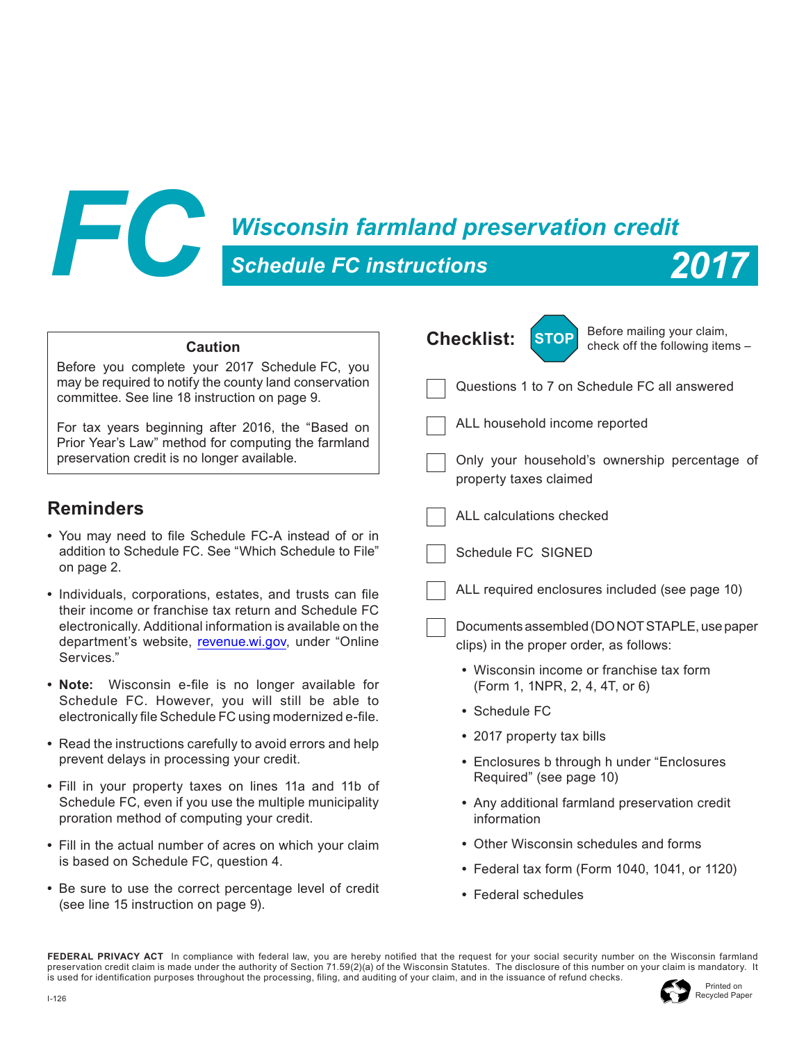

## *Wisconsin farmland preservation credit*



|                                                                                                                                                           | Before mailing your claim,                                                                               |  |  |  |  |  |  |  |
|-----------------------------------------------------------------------------------------------------------------------------------------------------------|----------------------------------------------------------------------------------------------------------|--|--|--|--|--|--|--|
| <b>Caution</b>                                                                                                                                            | <b>Checklist:</b><br><b>STOP</b><br>check off the following items -                                      |  |  |  |  |  |  |  |
| Before you complete your 2017 Schedule FC, you<br>may be required to notify the county land conservation<br>committee. See line 18 instruction on page 9. | Questions 1 to 7 on Schedule FC all answered                                                             |  |  |  |  |  |  |  |
| For tax years beginning after 2016, the "Based on<br>Prior Year's Law" method for computing the farmland<br>preservation credit is no longer available.   | ALL household income reported<br>Only your household's ownership percentage of<br>property taxes claimed |  |  |  |  |  |  |  |
| <b>Reminders</b>                                                                                                                                          | ALL calculations checked                                                                                 |  |  |  |  |  |  |  |
| • You may need to file Schedule FC-A instead of or in<br>addition to Schedule FC. See "Which Schedule to File"<br>on page 2.                              | Schedule FC SIGNED                                                                                       |  |  |  |  |  |  |  |
| • Individuals, corporations, estates, and trusts can file<br>their income or franchise tax return and Schedule FC                                         | ALL required enclosures included (see page 10)                                                           |  |  |  |  |  |  |  |
| electronically. Additional information is available on the<br>department's website, revenue.wi.gov, under "Online<br>Services."                           | Documents assembled (DO NOT STAPLE, use paper<br>clips) in the proper order, as follows:                 |  |  |  |  |  |  |  |
| • Note: Wisconsin e-file is no longer available for                                                                                                       | • Wisconsin income or franchise tax form<br>(Form 1, 1NPR, 2, 4, 4T, or 6)                               |  |  |  |  |  |  |  |
| Schedule FC. However, you will still be able to<br>electronically file Schedule FC using modernized e-file.                                               | • Schedule FC                                                                                            |  |  |  |  |  |  |  |
| • Read the instructions carefully to avoid errors and help                                                                                                | • 2017 property tax bills                                                                                |  |  |  |  |  |  |  |
| prevent delays in processing your credit.                                                                                                                 | • Enclosures b through h under "Enclosures                                                               |  |  |  |  |  |  |  |
| • Fill in your property taxes on lines 11a and 11b of                                                                                                     | Required" (see page 10)                                                                                  |  |  |  |  |  |  |  |
| Schedule FC, even if you use the multiple municipality<br>proration method of computing your credit.                                                      | • Any additional farmland preservation credit<br>information                                             |  |  |  |  |  |  |  |
| • Fill in the actual number of acres on which your claim                                                                                                  | • Other Wisconsin schedules and forms                                                                    |  |  |  |  |  |  |  |
| is based on Schedule FC, question 4.                                                                                                                      | • Federal tax form (Form 1040, 1041, or 1120)                                                            |  |  |  |  |  |  |  |
| • Be sure to use the correct percentage level of credit<br>(see line 15 instruction on page 9).                                                           | • Federal schedules                                                                                      |  |  |  |  |  |  |  |

**FEDERAL PRIVACY ACT** In compliance with federal law, you are hereby notifed that the request for your social security number on the Wisconsin farmland preservation credit claim is made under the authority of Section 71.59(2)(a) of the Wisconsin Statutes. The disclosure of this number on your claim is mandatory. It is used for identifcation purposes throughout the processing, fling, and auditing of your claim, and in the issuance of refund checks.

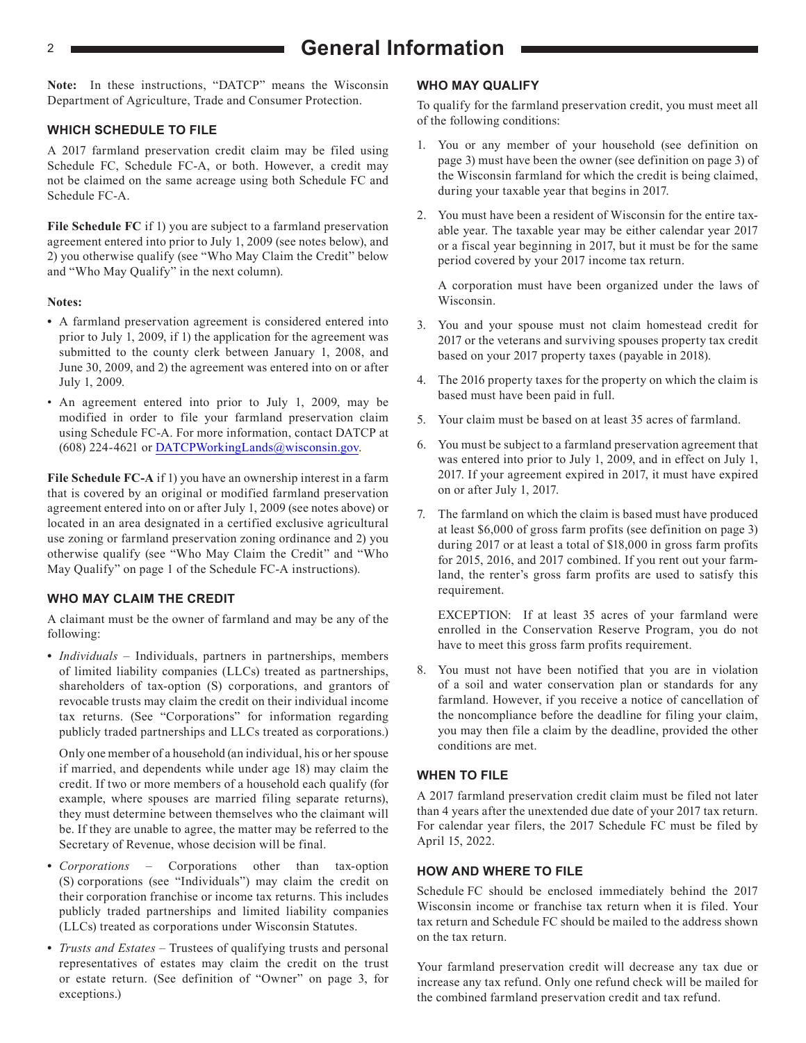## <sup>2</sup> **General Information**

**Note:** In these instructions, "DATCP" means the Wisconsin Department of Agriculture, Trade and Consumer Protection.

#### **WHICH SCHEDULE TO FILE**

A 2017 farmland preservation credit claim may be filed using Schedule FC, Schedule FC-A, or both. However, a credit may not be claimed on the same acreage using both Schedule FC and Schedule FC-A.

**File Schedule FC** if 1) you are subject to a farmland preservation agreement entered into prior to July 1, 2009 (see notes below), and 2) you otherwise qualify (see "Who May Claim the Credit" below and "Who May Qualify" in the next column).

#### **Notes:**

- **•** A farmland preservation agreement is considered entered into prior to July 1, 2009, if 1) the application for the agreement was submitted to the county clerk between January 1, 2008, and June 30, 2009, and 2) the agreement was entered into on or after July 1, 2009.
- An agreement entered into prior to July 1, 2009, may be modified in order to file your farmland preservation claim using Schedule FC-A. For more information, contact DATCP at (608) 224-4621 or [DATCPWorkingLands@wisconsin.gov](https://datcp.wi.gov/Pages/Programs_Services/FarmlandPreservation.aspx).

**File Schedule FC-A** if 1) you have an ownership interest in a farm that is covered by an original or modified farmland preservation agreement entered into on or after July 1, 2009 (see notes above) or located in an area designated in a certified exclusive agricultural use zoning or farmland preservation zoning ordinance and 2) you otherwise qualify (see "Who May Claim the Credit" and "Who May Qualify" on page 1 of the Schedule FC-A instructions).

#### **WHO MAY CLAIM THE CREDIT**

A claimant must be the owner of farmland and may be any of the following:

• *Individuals* – Individuals, partners in partnerships, members of limited liability companies (LLCs) treated as partnerships, shareholders of tax-option (S) corporations, and grantors of revocable trusts may claim the credit on their individual income tax returns. (See "Corporations" for information regarding publicly traded partnerships and LLCs treated as corporations.)

Only one member of a household (an individual, his or her spouse if married, and dependents while under age 18) may claim the credit. If two or more members of a household each qualify (for example, where spouses are married filing separate returns), they must determine between themselves who the claimant will be. If they are unable to agree, the matter may be referred to the Secretary of Revenue, whose decision will be final.

- **•** *Corporations*  Corporations other than tax-option (S) corporations (see "Individuals") may claim the credit on their corporation franchise or income tax returns. This includes publicly traded partnerships and limited liability companies (LLCs) treated as corporations under Wisconsin Statutes.
- **•** *Trusts and Estates*  Trustees of qualifying trusts and personal representatives of estates may claim the credit on the trust or estate return. (See definition of "Owner" on page 3, for exceptions.)

#### **WHO MAY QUALIFY**

To qualify for the farmland preservation credit, you must meet all of the following conditions:

- 1. You or any member of your household (see definition on page 3) must have been the owner (see definition on page 3) of the Wisconsin farmland for which the credit is being claimed, during your taxable year that begins in 2017.
- You must have been a resident of Wisconsin for the entire taxable year. The taxable year may be either calendar year 2017 or a fiscal year beginning in 2017, but it must be for the same period covered by your 2017 income tax return.

A corporation must have been organized under the laws of Wisconsin.

- 3. You and your spouse must not claim homestead credit for 2017 or the veterans and surviving spouses property tax credit based on your 2017 property taxes (payable in 2018).
- 4. The 2016 property taxes for the property on which the claim is based must have been paid in full.
- 5. Your claim must be based on at least 35 acres of farmland.
- 6. You must be subject to a farmland preservation agreement that was entered into prior to July 1, 2009, and in effect on July 1, 2017. If your agreement expired in 2017, it must have expired on or after July 1, 2017.
- 7. The farmland on which the claim is based must have produced at least \$6,000 of gross farm profits (see definition on page 3) during 2017 or at least a total of \$18,000 in gross farm profits for 2015, 2016, and 2017 combined. If you rent out your farmland, the renter's gross farm profits are used to satisfy this requirement.

EXCEPTION: If at least 35 acres of your farmland were enrolled in the Conservation Reserve Program, you do not have to meet this gross farm profits requirement.

8. You must not have been notified that you are in violation of a soil and water conservation plan or standards for any farmland. However, if you receive a notice of cancellation of the noncompliance before the deadline for filing your claim, you may then file a claim by the deadline, provided the other conditions are met.

#### **WHEN TO FILE**

A 2017 farmland preservation credit claim must be filed not later than 4 years after the unextended due date of your 2017 tax return. For calendar year filers, the 2017 Schedule FC must be filed by April 15, 2022.

#### **HOW AND WHERE TO FILE**

Schedule FC should be enclosed immediately behind the 2017 Wisconsin income or franchise tax return when it is filed. Your tax return and Schedule FC should be mailed to the address shown on the tax return.

Your farmland preservation credit will decrease any tax due or increase any tax refund. Only one refund check will be mailed for the combined farmland preservation credit and tax refund.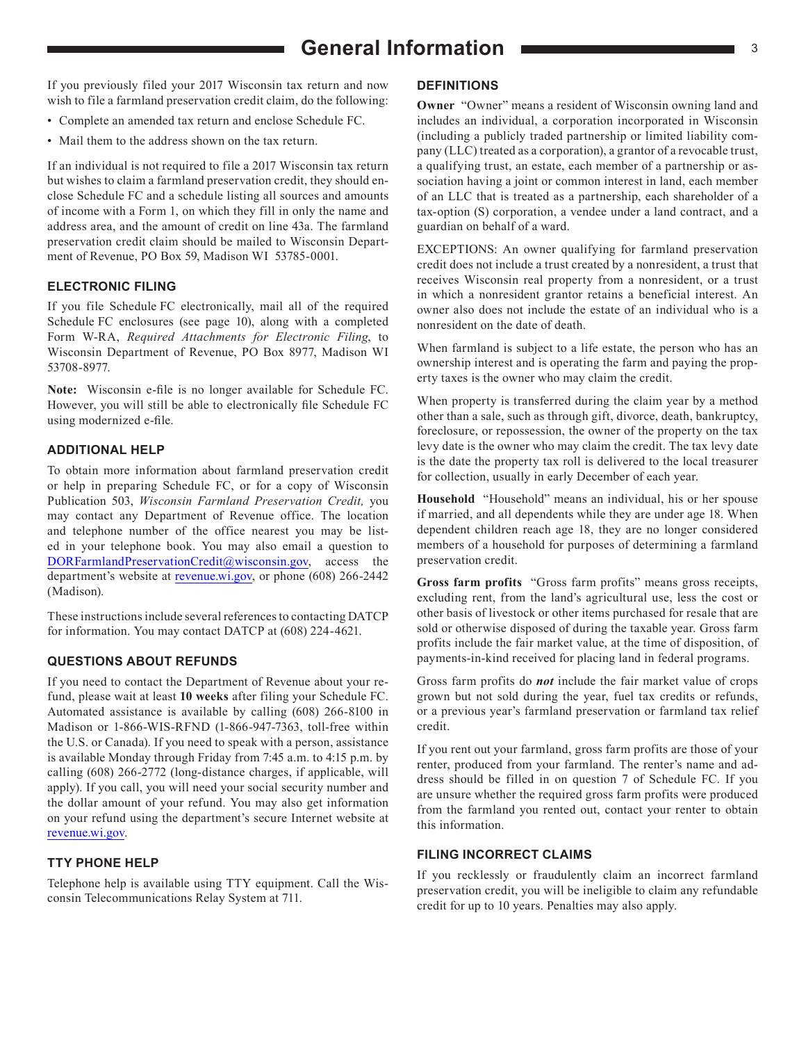## **General Information Contract of 3** 3

If you previously filed your 2017 Wisconsin tax return and now wish to file a farmland preservation credit claim, do the following:

- Complete an amended tax return and enclose Schedule FC.
- Mail them to the address shown on the tax return.

If an individual is not required to file a 2017 Wisconsin tax return but wishes to claim a farmland preservation credit, they should enclose Schedule FC and a schedule listing all sources and amounts of income with a Form 1, on which they fill in only the name and address area, and the amount of credit on line 43a. The farmland preservation credit claim should be mailed to Wisconsin Department of Revenue, PO Box 59, Madison WI 53785-0001.

#### **ELECTRONIC FILING**

If you file Schedule FC electronically, mail all of the required Schedule FC enclosures (see page 10), along with a completed Form W-RA, *Required Attachments for Electronic Filing*, to Wisconsin Department of Revenue, PO Box 8977, Madison WI 53708-8977.

**Note:** Wisconsin e-fle is no longer available for Schedule FC. However, you will still be able to electronically fle Schedule FC using modernized e-fle.

#### **ADDITIONAL HELP**

To obtain more information about farmland preservation credit or help in preparing Schedule FC, or for a copy of Wisconsin Publication 503, *Wisconsin Farmland Preservation Credit,* you may contact any Department of Revenue office. The location and telephone number of the office nearest you may be listed in your telephone book. You may also email a question to DOR[FarmlandPreservationCredit@wisconsin.gov](https://www.revenue.wi.gov/Pages/ContactUs/dorhelp.aspx?subject=dorfarmlandpreservationcredit), access the department's website at [revenue.wi.gov,](https://www.revenue.wi.gov) or phone (608) 266-2442 (Madison).

These instructions include several references to contacting DATCP for information. You may contact DATCP at (608) 224-4621.

#### **QUESTIONS ABOUT REFUNDS**

If you need to contact the Department of Revenue about your refund, please wait at least **10 weeks** after filing your Schedule FC. Automated assistance is available by calling (608) 266-8100 in Madison or 1-866-WIS-RFND (1-866-947-7363, toll-free within the U.S. or Canada). If you need to speak with a person, assistance is available Monday through Friday from 7:45 a.m. to 4:15 p.m. by calling (608) 266-2772 (long-distance charges, if applicable, will apply). If you call, you will need your social security number and the dollar amount of your refund. You may also get information on your refund using the department's secure Internet website at [revenue.wi.gov.](https://www.revenue.wi.gov)

#### **TTY PHONE HELP**

Telephone help is available using TTY equipment. Call the Wisconsin Telecommunications Relay System at 711.

#### **DEFINITIONS**

**Owner** "Owner" means a resident of Wisconsin owning land and includes an individual, a corporation incorporated in Wisconsin (including a publicly traded partnership or limited liability company (LLC) treated as a corporation), a grantor of a revocable trust, a qualifying trust, an estate, each member of a partnership or association having a joint or common interest in land, each member of an LLC that is treated as a partnership, each shareholder of a tax-option (S) corporation, a vendee under a land contract, and a guardian on behalf of a ward.

EXCEPTIONS: An owner qualifying for farmland preservation credit does not include a trust created by a nonresident, a trust that receives Wisconsin real property from a nonresident, or a trust in which a nonresident grantor retains a beneficial interest. An owner also does not include the estate of an individual who is a nonresident on the date of death.

When farmland is subject to a life estate, the person who has an ownership interest and is operating the farm and paying the property taxes is the owner who may claim the credit.

When property is transferred during the claim year by a method other than a sale, such as through gift, divorce, death, bankruptcy, foreclosure, or repossession, the owner of the property on the tax levy date is the owner who may claim the credit. The tax levy date is the date the property tax roll is delivered to the local treasurer for collection, usually in early December of each year.

**Household** "Household" means an individual, his or her spouse if married, and all dependents while they are under age 18. When dependent children reach age 18, they are no longer considered members of a household for purposes of determining a farmland preservation credit.

**Gross farm profits** "Gross farm profits" means gross receipts, excluding rent, from the land's agricultural use, less the cost or other basis of livestock or other items purchased for resale that are sold or otherwise disposed of during the taxable year. Gross farm profits include the fair market value, at the time of disposition, of payments-in-kind received for placing land in federal programs.

Gross farm profits do *not* include the fair market value of crops grown but not sold during the year, fuel tax credits or refunds, or a previous year's farmland preservation or farmland tax relief credit.

If you rent out your farmland, gross farm profits are those of your renter, produced from your farmland. The renter's name and address should be filled in on question 7 of Schedule FC. If you are unsure whether the required gross farm profits were produced from the farmland you rented out, contact your renter to obtain this information.

#### **FILING INCORRECT CLAIMS**

If you recklessly or fraudulently claim an incorrect farmland preservation credit, you will be ineligible to claim any refundable credit for up to 10 years. Penalties may also apply.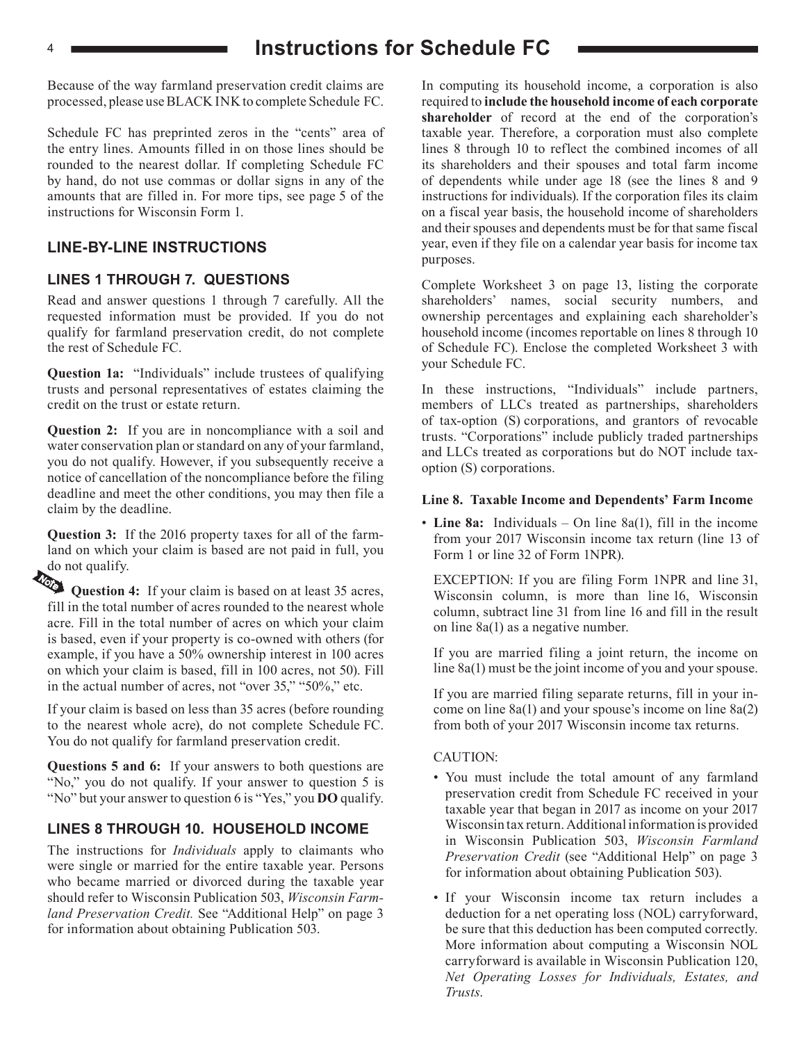## <sup>4</sup> **Instructions for Schedule FC**

Because of the way farmland preservation credit claims are processed, please use BLACK INK to complete Schedule FC.

Schedule FC has preprinted zeros in the "cents" area of the entry lines. Amounts filled in on those lines should be rounded to the nearest dollar. If completing Schedule FC by hand, do not use commas or dollar signs in any of the amounts that are filled in. For more tips, see page 5 of the instructions for Wisconsin Form 1.

#### **LINE-BY-LINE INSTRUCTIONS**

#### **LINES 1 THROUGH 7. QUESTIONS**

Read and answer questions 1 through 7 carefully. All the requested information must be provided. If you do not qualify for farmland preservation credit, do not complete the rest of Schedule FC.

**Question 1a:** "Individuals" include trustees of qualifying trusts and personal representatives of estates claiming the credit on the trust or estate return.

**Question 2:** If you are in noncompliance with a soil and water conservation plan or standard on any of your farmland, you do not qualify. However, if you subsequently receive a notice of cancellation of the noncompliance before the filing deadline and meet the other conditions, you may then file a claim by the deadline.

**Question 3:** If the 2016 property taxes for all of the farmland on which your claim is based are not paid in full, you do not qualify.

Question 4: If your claim is based on at least 35 acres, fill in the total number of acres rounded to the nearest whole acre. Fill in the total number of acres on which your claim is based, even if your property is co-owned with others (for example, if you have a 50% ownership interest in 100 acres on which your claim is based, fill in 100 acres, not 50). Fill in the actual number of acres, not "over 35," "50%," etc.

If your claim is based on less than 35 acres (before rounding to the nearest whole acre), do not complete Schedule FC. You do not qualify for farmland preservation credit.

**Questions 5 and 6:** If your answers to both questions are "No," you do not qualify. If your answer to question 5 is "No" but your answer to question 6 is "Yes," you **DO** qualify.

#### **LINES 8 THROUGH 10. HOUSEHOLD INCOME**

The instructions for *Individuals* apply to claimants who were single or married for the entire taxable year. Persons who became married or divorced during the taxable year should refer to Wisconsin Publication 503, *Wisconsin Farmland Preservation Credit.* See "Additional Help" on page 3 for information about obtaining Publication 503.

In computing its household income, a corporation is also required to **include the household income of each corporate shareholder** of record at the end of the corporation's taxable year. Therefore, a corporation must also complete lines 8 through 10 to reflect the combined incomes of all its shareholders and their spouses and total farm income of dependents while under age 18 (see the lines 8 and 9 instructions for individuals). If the corporation files its claim on a fiscal year basis, the household income of shareholders and their spouses and dependents must be for that same fiscal year, even if they file on a calendar year basis for income tax purposes.

Complete Worksheet 3 on page 13, listing the corporate shareholders' names, social security numbers, and ownership percentages and explaining each shareholder's household income (incomes reportable on lines 8 through 10 of Schedule FC). Enclose the completed Worksheet 3 with your Schedule FC.

In these instructions, "Individuals" include partners, members of LLCs treated as partnerships, shareholders of tax-option (S) corporations, and grantors of revocable trusts. "Corporations" include publicly traded partnerships and LLCs treated as corporations but do NOT include taxoption (S) corporations.

#### **Line 8. Taxable Income and Dependents' Farm Income**

• **Line 8a:** Individuals – On line 8a(1), fill in the income from your 2017 Wisconsin income tax return (line 13 of Form 1 or line 32 of Form 1NPR).

EXCEPTION: If you are filing Form 1NPR and line 31, Wisconsin column, is more than line 16, Wisconsin column, subtract line 31 from line 16 and fill in the result on line 8a(1) as a negative number.

If you are married filing a joint return, the income on line 8a(1) must be the joint income of you and your spouse.

If you are married filing separate returns, fill in your income on line 8a(1) and your spouse's income on line 8a(2) from both of your 2017 Wisconsin income tax returns.

#### CAUTION:

- You must include the total amount of any farmland preservation credit from Schedule FC received in your taxable year that began in 2017 as income on your 2017 Wisconsin tax return. Additional information is provided in Wisconsin Publication 503, *Wisconsin Farmland Preservation Credit* (see "Additional Help" on page 3 for information about obtaining Publication 503).
- If your Wisconsin income tax return includes a deduction for a net operating loss (NOL) carryforward, be sure that this deduction has been computed correctly. More information about computing a Wisconsin NOL carryforward is available in Wisconsin Publication 120, *Net Operating Losses for Individuals, Estates, and Trusts*.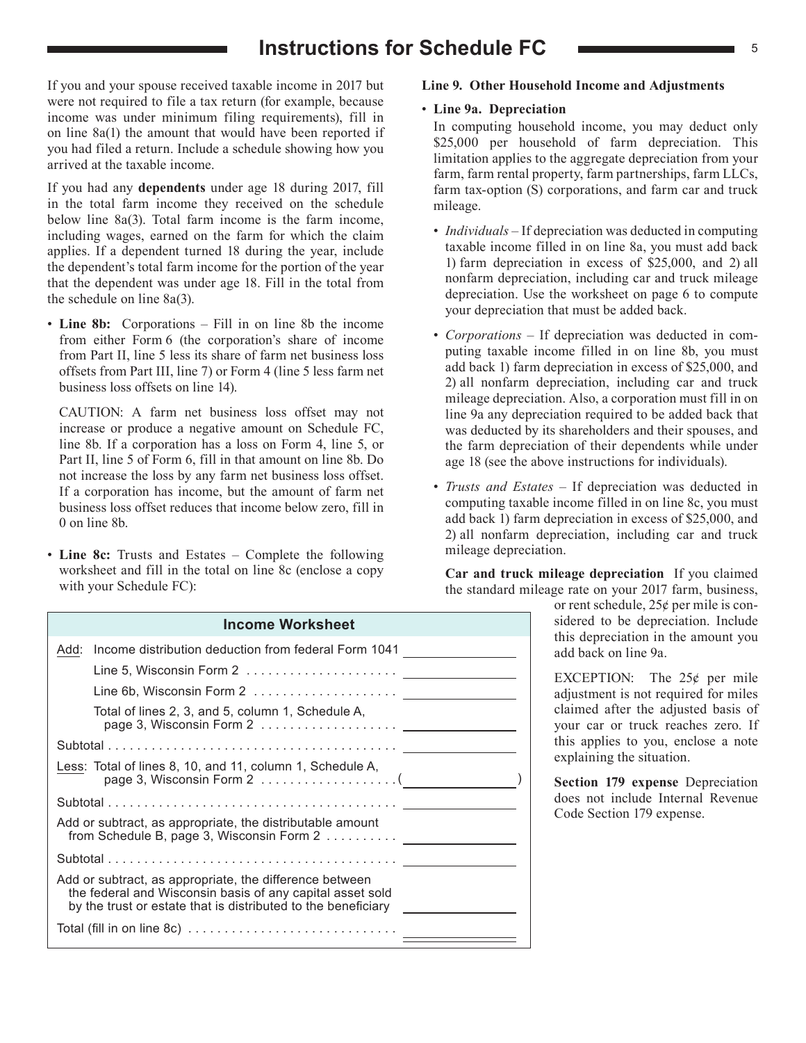## **Instructions for Schedule FC**  $\frac{1}{5}$

If you and your spouse received taxable income in 2017 but were not required to file a tax return (for example, because income was under minimum filing requirements), fill in on line 8a(1) the amount that would have been reported if you had filed a return. Include a schedule showing how you arrived at the taxable income.

If you had any **dependents** under age 18 during 2017, fill in the total farm income they received on the schedule below line 8a(3). Total farm income is the farm income, including wages, earned on the farm for which the claim applies. If a dependent turned 18 during the year, include the dependent's total farm income for the portion of the year that the dependent was under age 18. Fill in the total from the schedule on line 8a(3).

• **Line 8b:** Corporations – Fill in on line 8b the income from either Form 6 (the corporation's share of income from Part II, line 5 less its share of farm net business loss offsets from Part III, line 7) or Form 4 (line 5 less farm net business loss offsets on line 14).

CAUTION: A farm net business loss offset may not increase or produce a negative amount on Schedule FC, line 8b. If a corporation has a loss on Form 4, line 5, or Part II, line 5 of Form 6, fill in that amount on line 8b. Do not increase the loss by any farm net business loss offset. If a corporation has income, but the amount of farm net business loss offset reduces that income below zero, fill in 0 on line 8b.

• **Line 8c:** Trusts and Estates – Complete the following worksheet and fill in the total on line 8c (enclose a copy with your Schedule FC):

# **Income Worksheet**

| Add: Income distribution deduction from federal Form 1041                                                                                                                             |  |
|---------------------------------------------------------------------------------------------------------------------------------------------------------------------------------------|--|
|                                                                                                                                                                                       |  |
|                                                                                                                                                                                       |  |
| Total of lines 2, 3, and 5, column 1, Schedule A,                                                                                                                                     |  |
|                                                                                                                                                                                       |  |
| Less: Total of lines 8, 10, and 11, column 1, Schedule A,<br>page 3, Wisconsin Form 2 $\ldots \ldots \ldots \ldots \ldots$                                                            |  |
|                                                                                                                                                                                       |  |
| Add or subtract, as appropriate, the distributable amount<br>from Schedule B, page 3, Wisconsin Form 2                                                                                |  |
|                                                                                                                                                                                       |  |
| Add or subtract, as appropriate, the difference between<br>the federal and Wisconsin basis of any capital asset sold<br>by the trust or estate that is distributed to the beneficiary |  |
|                                                                                                                                                                                       |  |
|                                                                                                                                                                                       |  |

#### **Line 9. Other Household Income and Adjustments**

#### • **Line 9a. Depreciation**

In computing household income, you may deduct only \$25,000 per household of farm depreciation. This limitation applies to the aggregate depreciation from your farm, farm rental property, farm partnerships, farm LLCs, farm tax-option (S) corporations, and farm car and truck mileage.

- *Individuals*  If depreciation was deducted in computing taxable income filled in on line 8a, you must add back 1) farm depreciation in excess of \$25,000, and 2) all nonfarm depreciation, including car and truck mileage depreciation. Use the worksheet on page 6 to compute your depreciation that must be added back.
- *Corporations*  If depreciation was deducted in computing taxable income filled in on line 8b, you must add back 1) farm depreciation in excess of \$25,000, and 2) all nonfarm depreciation, including car and truck mileage depreciation. Also, a corporation must fill in on line 9a any depreciation required to be added back that was deducted by its shareholders and their spouses, and the farm depreciation of their dependents while under age 18 (see the above instructions for individuals).
- *Trusts and Estates*  If depreciation was deducted in computing taxable income filled in on line 8c, you must add back 1) farm depreciation in excess of \$25,000, and 2) all nonfarm depreciation, including car and truck mileage depreciation.

**Car and truck mileage depreciation** If you claimed the standard mileage rate on your 2017 farm, business,

or rent schedule, 25¢ per mile is considered to be depreciation. Include this depreciation in the amount you add back on line 9a.

EXCEPTION: The  $25¢$  per mile adjustment is not required for miles claimed after the adjusted basis of your car or truck reaches zero. If this applies to you, enclose a note explaining the situation.

**Section 179 expense** Depreciation does not include Internal Revenue Code Section 179 expense.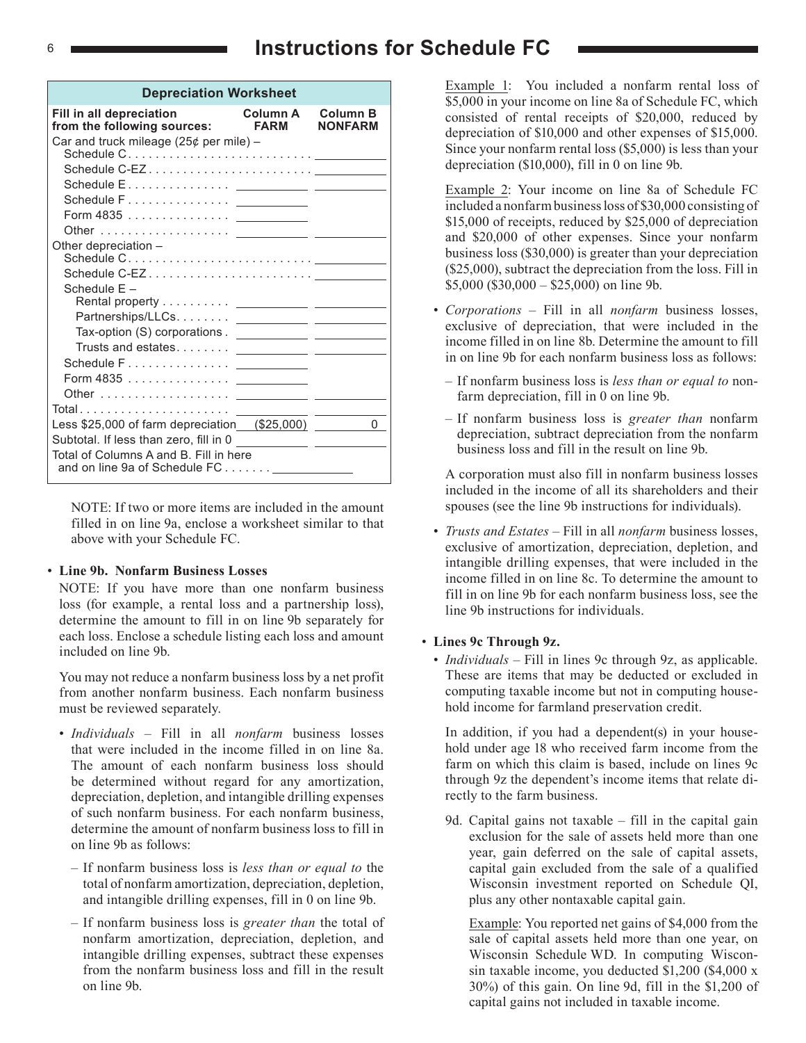## <sup>6</sup> **Instructions for Schedule FC**

| <b>Depreciation Worksheet</b>                                                                                                                                                                                                                                                                                                                                                                                                                                                                                             |                                |                            |  |  |  |  |  |  |  |  |
|---------------------------------------------------------------------------------------------------------------------------------------------------------------------------------------------------------------------------------------------------------------------------------------------------------------------------------------------------------------------------------------------------------------------------------------------------------------------------------------------------------------------------|--------------------------------|----------------------------|--|--|--|--|--|--|--|--|
| Fill in all depreciation<br>from the following sources:                                                                                                                                                                                                                                                                                                                                                                                                                                                                   | <b>Column A</b><br><b>FARM</b> | Column B<br><b>NONFARM</b> |  |  |  |  |  |  |  |  |
| Car and truck mileage (25¢ per mile) –                                                                                                                                                                                                                                                                                                                                                                                                                                                                                    |                                |                            |  |  |  |  |  |  |  |  |
|                                                                                                                                                                                                                                                                                                                                                                                                                                                                                                                           |                                |                            |  |  |  |  |  |  |  |  |
|                                                                                                                                                                                                                                                                                                                                                                                                                                                                                                                           |                                |                            |  |  |  |  |  |  |  |  |
|                                                                                                                                                                                                                                                                                                                                                                                                                                                                                                                           |                                |                            |  |  |  |  |  |  |  |  |
|                                                                                                                                                                                                                                                                                                                                                                                                                                                                                                                           |                                |                            |  |  |  |  |  |  |  |  |
| Other depreciation -                                                                                                                                                                                                                                                                                                                                                                                                                                                                                                      |                                |                            |  |  |  |  |  |  |  |  |
|                                                                                                                                                                                                                                                                                                                                                                                                                                                                                                                           |                                |                            |  |  |  |  |  |  |  |  |
|                                                                                                                                                                                                                                                                                                                                                                                                                                                                                                                           |                                |                            |  |  |  |  |  |  |  |  |
| Schedule E-                                                                                                                                                                                                                                                                                                                                                                                                                                                                                                               |                                |                            |  |  |  |  |  |  |  |  |
|                                                                                                                                                                                                                                                                                                                                                                                                                                                                                                                           |                                |                            |  |  |  |  |  |  |  |  |
|                                                                                                                                                                                                                                                                                                                                                                                                                                                                                                                           |                                |                            |  |  |  |  |  |  |  |  |
|                                                                                                                                                                                                                                                                                                                                                                                                                                                                                                                           |                                |                            |  |  |  |  |  |  |  |  |
|                                                                                                                                                                                                                                                                                                                                                                                                                                                                                                                           |                                |                            |  |  |  |  |  |  |  |  |
|                                                                                                                                                                                                                                                                                                                                                                                                                                                                                                                           |                                |                            |  |  |  |  |  |  |  |  |
| Total<br>$\mathbf{1} \times \mathbf{1} \times \mathbf{1} \times \mathbf{1} \times \mathbf{1} \times \mathbf{1} \times \mathbf{1} \times \mathbf{1} \times \mathbf{1} \times \mathbf{1} \times \mathbf{1} \times \mathbf{1} \times \mathbf{1} \times \mathbf{1} \times \mathbf{1} \times \mathbf{1} \times \mathbf{1} \times \mathbf{1} \times \mathbf{1} \times \mathbf{1} \times \mathbf{1} \times \mathbf{1} \times \mathbf{1} \times \mathbf{1} \times \mathbf{1} \times \mathbf{1} \times \mathbf{1} \times \mathbf{$ |                                |                            |  |  |  |  |  |  |  |  |
| Less \$25,000 of farm depreciation (\$25,000)                                                                                                                                                                                                                                                                                                                                                                                                                                                                             |                                | 0                          |  |  |  |  |  |  |  |  |
| Subtotal. If less than zero, fill in 0                                                                                                                                                                                                                                                                                                                                                                                                                                                                                    |                                |                            |  |  |  |  |  |  |  |  |
| Total of Columns A and B. Fill in here                                                                                                                                                                                                                                                                                                                                                                                                                                                                                    |                                |                            |  |  |  |  |  |  |  |  |

NOTE: If two or more items are included in the amount filled in on line 9a, enclose a worksheet similar to that above with your Schedule FC.

#### • **Line 9b. Nonfarm Business Losses**

NOTE: If you have more than one nonfarm business loss (for example, a rental loss and a partnership loss), determine the amount to fill in on line 9b separately for each loss. Enclose a schedule listing each loss and amount included on line 9b.

You may not reduce a nonfarm business loss by a net profit from another nonfarm business. Each nonfarm business must be reviewed separately.

- *Individuals*  Fill in all *nonfarm* business losses that were included in the income filled in on line 8a. The amount of each nonfarm business loss should be determined without regard for any amortization, depreciation, depletion, and intangible drilling expenses of such nonfarm business. For each nonfarm business, determine the amount of nonfarm business loss to fill in on line 9b as follows:
	- If nonfarm business loss is *less than or equal to* the total of nonfarm amortization, depreciation, depletion, and intangible drilling expenses, fill in 0 on line 9b.
	- If nonfarm business loss is *greater than* the total of nonfarm amortization, depreciation, depletion, and intangible drilling expenses, subtract these expenses from the nonfarm business loss and fill in the result on line 9b.

 Example 1: You included a nonfarm rental loss of \$5,000 in your income on line 8a of Schedule FC, which consisted of rental receipts of \$20,000, reduced by depreciation of \$10,000 and other expenses of \$15,000. Since your nonfarm rental loss (\$5,000) is less than your depreciation (\$10,000), fill in 0 on line 9b.

 Example 2: Your income on line 8a of Schedule FC included a nonfarm business loss of \$30,000 consisting of \$15,000 of receipts, reduced by \$25,000 of depreciation and \$20,000 of other expenses. Since your nonfarm business loss (\$30,000) is greater than your depreciation (\$25,000), subtract the depreciation from the loss. Fill in  $$5,000$  (\$30,000 – \$25,000) on line 9b.

- *Corporations*  Fill in all *nonfarm* business losses, exclusive of depreciation, that were included in the income filled in on line 8b. Determine the amount to fill in on line 9b for each nonfarm business loss as follows:
	- If nonfarm business loss is *less than or equal to* nonfarm depreciation, fill in 0 on line 9b.
	- If nonfarm business loss is *greater than* nonfarm depreciation, subtract depreciation from the nonfarm business loss and fill in the result on line 9b.

 A corporation must also fill in nonfarm business losses included in the income of all its shareholders and their spouses (see the line 9b instructions for individuals).

• *Trusts and Estates* – Fill in all *nonfarm* business losses, exclusive of amortization, depreciation, depletion, and intangible drilling expenses, that were included in the income filled in on line 8c. To determine the amount to fill in on line 9b for each nonfarm business loss, see the line 9b instructions for individuals.

#### • **Lines 9c Through 9z.**

• *Individuals* – Fill in lines 9c through 9z, as applicable. These are items that may be deducted or excluded in computing taxable income but not in computing household income for farmland preservation credit.

 In addition, if you had a dependent(s) in your household under age 18 who received farm income from the farm on which this claim is based, include on lines 9c through 9z the dependent's income items that relate directly to the farm business.

 9d. Capital gains not taxable – fill in the capital gain exclusion for the sale of assets held more than one year, gain deferred on the sale of capital assets, capital gain excluded from the sale of a qualified Wisconsin investment reported on Schedule QI, plus any other nontaxable capital gain.

 Example: You reported net gains of \$4,000 from the sale of capital assets held more than one year, on Wisconsin Schedule WD. In computing Wisconsin taxable income, you deducted \$1,200 (\$4,000 x 30%) of this gain. On line 9d, fill in the \$1,200 of capital gains not included in taxable income.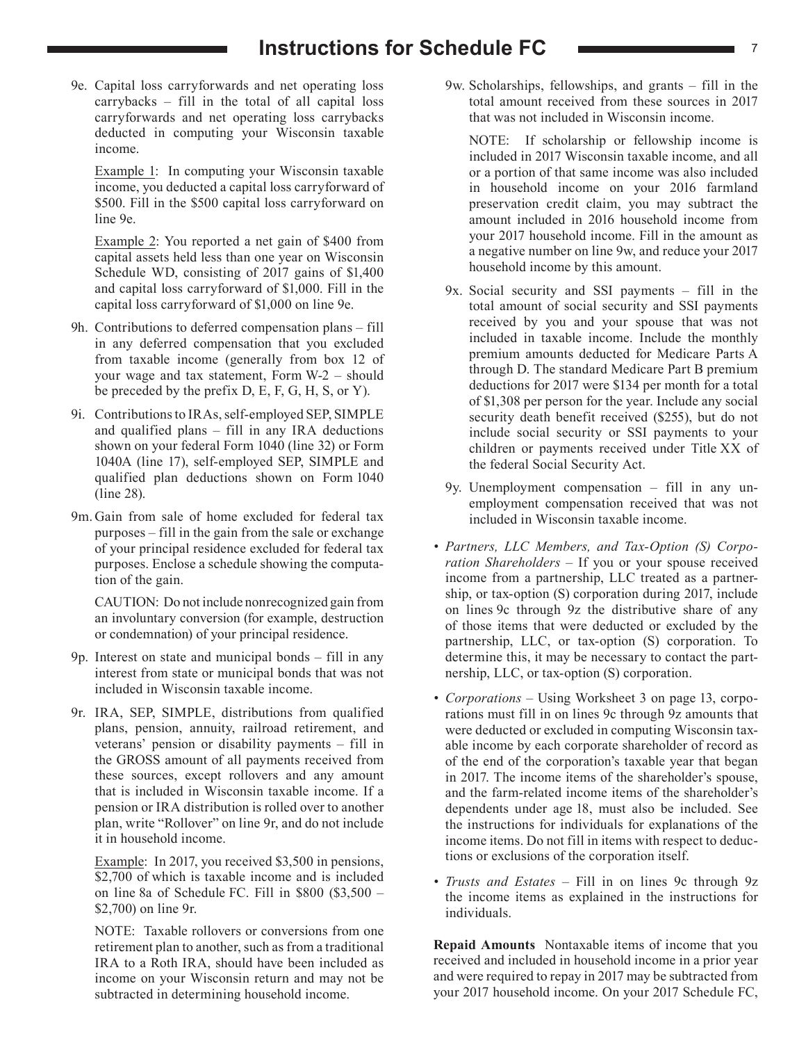## **Instructions for Schedule FC** *C T* 7

 9e. Capital loss carryforwards and net operating loss carrybacks – fill in the total of all capital loss carryforwards and net operating loss carrybacks deducted in computing your Wisconsin taxable income.

 Example 1: In computing your Wisconsin taxable income, you deducted a capital loss carryforward of \$500. Fill in the \$500 capital loss carryforward on line 9e.

 Example 2: You reported a net gain of \$400 from capital assets held less than one year on Wisconsin Schedule WD, consisting of 2017 gains of \$1,400 and capital loss carryforward of \$1,000. Fill in the capital loss carryforward of \$1,000 on line 9e.

- 9h. Contributions to deferred compensation plans fill in any deferred compensation that you excluded from taxable income (generally from box 12 of your wage and tax statement, Form W-2 – should be preceded by the prefix D, E, F, G, H, S, or Y).
- 9i. Contributions to IRAs, self-employed SEP, SIMPLE and qualified plans – fill in any IRA deductions shown on your federal Form 1040 (line 32) or Form 1040A (line 17), self-employed SEP, SIMPLE and qualified plan deductions shown on Form 1040 (line 28).
- 9m. Gain from sale of home excluded for federal tax purposes – fill in the gain from the sale or exchange of your principal residence excluded for federal tax purposes. Enclose a schedule showing the computation of the gain.

 CAUTION: Do not include nonrecognized gain from an involuntary conversion (for example, destruction or condemnation) of your principal residence.

- 9p. Interest on state and municipal bonds fill in any interest from state or municipal bonds that was not included in Wisconsin taxable income.
- 9r. IRA, SEP, SIMPLE, distributions from qualified plans, pension, annuity, railroad retirement, and veterans' pension or disability payments – fill in the GROSS amount of all payments received from these sources, except rollovers and any amount that is included in Wisconsin taxable income. If a pension or IRA distribution is rolled over to another plan, write "Rollover" on line 9r, and do not include it in household income.

 Example: In 2017, you received \$3,500 in pensions, \$2,700 of which is taxable income and is included on line 8a of Schedule FC. Fill in \$800 (\$3,500 – \$2,700) on line 9r.

 NOTE: Taxable rollovers or conversions from one retirement plan to another, such as from a traditional IRA to a Roth IRA, should have been included as income on your Wisconsin return and may not be subtracted in determining household income.

 9w. Scholarships, fellowships, and grants – fill in the total amount received from these sources in 2017 that was not included in Wisconsin income.

 NOTE: If scholarship or fellowship income is included in 2017 Wisconsin taxable income, and all or a portion of that same income was also included in household income on your 2016 farmland preservation credit claim, you may subtract the amount included in 2016 household income from your 2017 household income. Fill in the amount as a negative number on line 9w, and reduce your 2017 household income by this amount.

- 9x. Social security and SSI payments fill in the total amount of social security and SSI payments received by you and your spouse that was not included in taxable income. Include the monthly premium amounts deducted for Medicare Parts A through D. The standard Medicare Part B premium deductions for 2017 were \$134 per month for a total of \$1,308 per person for the year. Include any social security death benefit received (\$255), but do not include social security or SSI payments to your children or payments received under Title XX of the federal Social Security Act.
- 9y. Unemployment compensation fill in any unemployment compensation received that was not included in Wisconsin taxable income.
- *• Partners, LLC Members, and Tax-Option (S) Corporation Shareholders* – If you or your spouse received income from a partnership, LLC treated as a partnership, or tax-option (S) corporation during 2017, include on lines 9c through 9z the distributive share of any of those items that were deducted or excluded by the partnership, LLC, or tax-option (S) corporation. To determine this, it may be necessary to contact the partnership, LLC, or tax-option (S) corporation.
- *• Corporations*  Using Worksheet 3 on page 13, corporations must fill in on lines 9c through 9z amounts that were deducted or excluded in computing Wisconsin taxable income by each corporate shareholder of record as of the end of the corporation's taxable year that began in 2017. The income items of the shareholder's spouse, and the farm-related income items of the shareholder's dependents under age 18, must also be included. See the instructions for individuals for explanations of the income items. Do not fill in items with respect to deductions or exclusions of the corporation itself.
- *• Trusts and Estates*  Fill in on lines 9c through 9z the income items as explained in the instructions for individuals.

**Repaid Amounts** Nontaxable items of income that you received and included in household income in a prior year and were required to repay in 2017 may be subtracted from your 2017 household income. On your 2017 Schedule FC,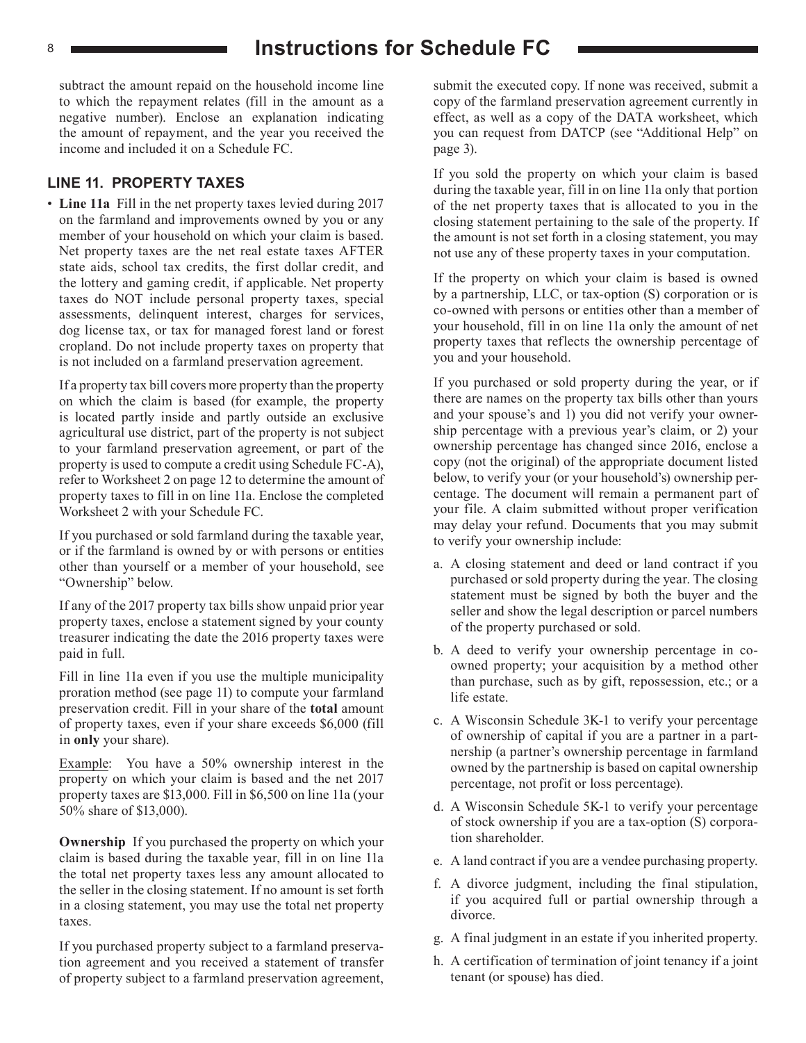subtract the amount repaid on the household income line to which the repayment relates (fill in the amount as a negative number). Enclose an explanation indicating the amount of repayment, and the year you received the income and included it on a Schedule FC.

#### **LINE 11. PROPERTY TAXES**

• **Line 11a** Fill in the net property taxes levied during 2017 on the farmland and improvements owned by you or any member of your household on which your claim is based. Net property taxes are the net real estate taxes AFTER state aids, school tax credits, the first dollar credit, and the lottery and gaming credit, if applicable. Net property taxes do NOT include personal property taxes, special assessments, delinquent interest, charges for services, dog license tax, or tax for managed forest land or forest cropland. Do not include property taxes on property that is not included on a farmland preservation agreement.

If a property tax bill covers more property than the property on which the claim is based (for example, the property is located partly inside and partly outside an exclusive agricultural use district, part of the property is not subject to your farmland preservation agreement, or part of the property is used to compute a credit using Schedule FC-A), refer to Worksheet 2 on page 12 to determine the amount of property taxes to fill in on line 11a. Enclose the completed Worksheet 2 with your Schedule FC.

If you purchased or sold farmland during the taxable year, or if the farmland is owned by or with persons or entities other than yourself or a member of your household, see "Ownership" below.

If any of the 2017 property tax bills show unpaid prior year property taxes, enclose a statement signed by your county treasurer indicating the date the 2016 property taxes were paid in full.

Fill in line 11a even if you use the multiple municipality proration method (see page 11) to compute your farmland preservation credit. Fill in your share of the **total** amount of property taxes, even if your share exceeds \$6,000 (fill in **only** your share).

Example: You have a 50% ownership interest in the property on which your claim is based and the net 2017 property taxes are \$13,000. Fill in \$6,500 on line 11a (your 50% share of \$13,000).

**Ownership** If you purchased the property on which your claim is based during the taxable year, fill in on line 11a the total net property taxes less any amount allocated to the seller in the closing statement. If no amount is set forth in a closing statement, you may use the total net property taxes.

If you purchased property subject to a farmland preservation agreement and you received a statement of transfer of property subject to a farmland preservation agreement, submit the executed copy. If none was received, submit a copy of the farmland preservation agreement currently in effect, as well as a copy of the DATA worksheet, which you can request from DATCP (see "Additional Help" on page 3).

If you sold the property on which your claim is based during the taxable year, fill in on line 11a only that portion of the net property taxes that is allocated to you in the closing statement pertaining to the sale of the property. If the amount is not set forth in a closing statement, you may not use any of these property taxes in your computation.

If the property on which your claim is based is owned by a partnership, LLC, or tax-option (S) corporation or is co-owned with persons or entities other than a member of your household, fill in on line 11a only the amount of net property taxes that reflects the ownership percentage of you and your household.

If you purchased or sold property during the year, or if there are names on the property tax bills other than yours and your spouse's and 1) you did not verify your ownership percentage with a previous year's claim, or 2) your ownership percentage has changed since 2016, enclose a copy (not the original) of the appropriate document listed below, to verify your (or your household's) ownership percentage. The document will remain a permanent part of your file. A claim submitted without proper verification may delay your refund. Documents that you may submit to verify your ownership include:

- a. A closing statement and deed or land contract if you purchased or sold property during the year. The closing statement must be signed by both the buyer and the seller and show the legal description or parcel numbers of the property purchased or sold.
- b. A deed to verify your ownership percentage in coowned property; your acquisition by a method other than purchase, such as by gift, repossession, etc.; or a life estate.
- c. A Wisconsin Schedule 3K-1 to verify your percentage of ownership of capital if you are a partner in a partnership (a partner's ownership percentage in farmland owned by the partnership is based on capital ownership percentage, not profit or loss percentage).
- d. A Wisconsin Schedule 5K-1 to verify your percentage of stock ownership if you are a tax-option (S) corporation shareholder.
- e. A land contract if you are a vendee purchasing property.
- f. A divorce judgment, including the final stipulation, if you acquired full or partial ownership through a divorce.
- g. A final judgment in an estate if you inherited property.
- h. A certification of termination of joint tenancy if a joint tenant (or spouse) has died.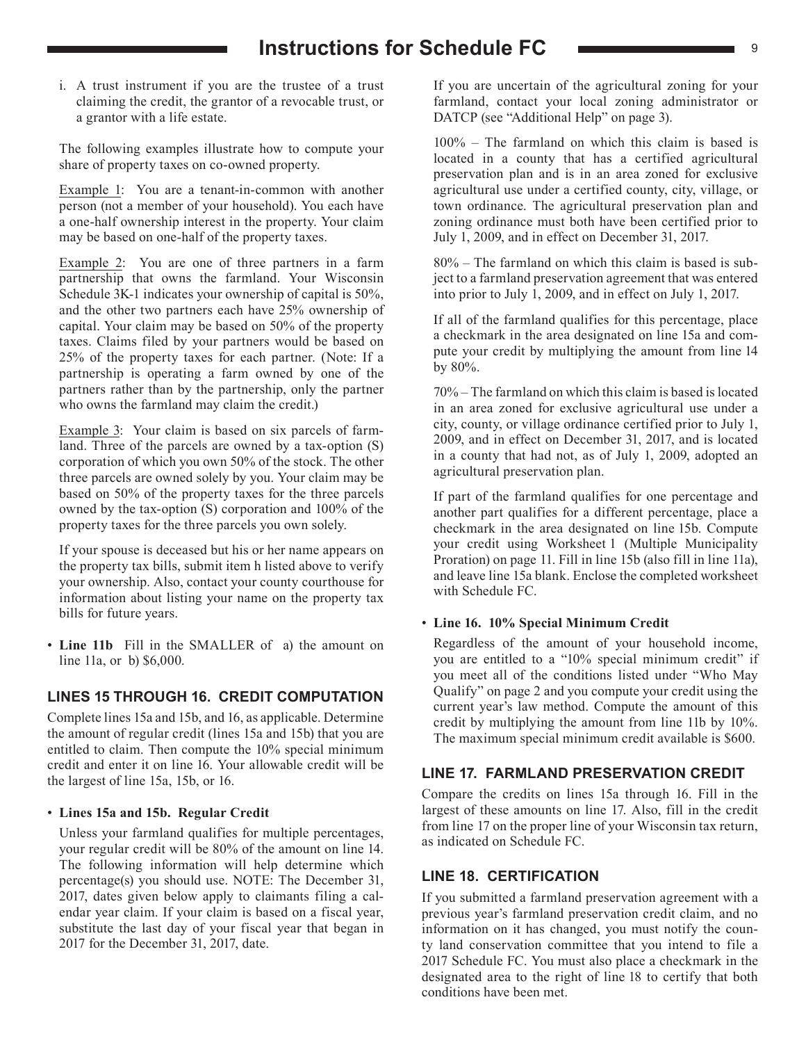## **Instructions for Schedule FC**  $\longrightarrow$

i. A trust instrument if you are the trustee of a trust claiming the credit, the grantor of a revocable trust, or a grantor with a life estate.

The following examples illustrate how to compute your share of property taxes on co-owned property.

Example 1: You are a tenant-in-common with another person (not a member of your household). You each have a one-half ownership interest in the property. Your claim may be based on one-half of the property taxes.

Example 2: You are one of three partners in a farm partnership that owns the farmland. Your Wisconsin Schedule 3K-1 indicates your ownership of capital is 50%, and the other two partners each have 25% ownership of capital. Your claim may be based on 50% of the property taxes. Claims filed by your partners would be based on 25% of the property taxes for each partner. (Note: If a partnership is operating a farm owned by one of the partners rather than by the partnership, only the partner who owns the farmland may claim the credit.)

Example 3: Your claim is based on six parcels of farmland. Three of the parcels are owned by a tax-option (S) corporation of which you own 50% of the stock. The other three parcels are owned solely by you. Your claim may be based on 50% of the property taxes for the three parcels owned by the tax-option (S) corporation and 100% of the property taxes for the three parcels you own solely.

If your spouse is deceased but his or her name appears on the property tax bills, submit item h listed above to verify your ownership. Also, contact your county courthouse for information about listing your name on the property tax bills for future years.

• **Line 11b** Fill in the SMALLER of a) the amount on line 11a, or b) \$6,000.

#### **LINES 15 THROUGH 16. CREDIT COMPUTATION**

Complete lines 15a and 15b, and 16, as applicable. Determine the amount of regular credit (lines 15a and 15b) that you are entitled to claim. Then compute the 10% special minimum credit and enter it on line 16. Your allowable credit will be the largest of line 15a, 15b, or 16.

#### • **Lines 15a and 15b. Regular Credit**

Unless your farmland qualifies for multiple percentages, your regular credit will be 80% of the amount on line 14. The following information will help determine which percentage(s) you should use. NOTE: The December 31, 2017, dates given below apply to claimants filing a calendar year claim. If your claim is based on a fiscal year, substitute the last day of your fiscal year that began in 2017 for the December 31, 2017, date.

If you are uncertain of the agricultural zoning for your farmland, contact your local zoning administrator or DATCP (see "Additional Help" on page 3).

100% – The farmland on which this claim is based is located in a county that has a certified agricultural preservation plan and is in an area zoned for exclusive agricultural use under a certified county, city, village, or town ordinance. The agricultural preservation plan and zoning ordinance must both have been certified prior to July 1, 2009, and in effect on December 31, 2017.

80% – The farmland on which this claim is based is subject to a farmland preservation agreement that was entered into prior to July 1, 2009, and in effect on July 1, 2017.

If all of the farmland qualifies for this percentage, place a checkmark in the area designated on line 15a and compute your credit by multiplying the amount from line 14 by 80%.

70% – The farmland on which this claim is based is located in an area zoned for exclusive agricultural use under a city, county, or village ordinance certified prior to July 1, 2009, and in effect on December 31, 2017, and is located in a county that had not, as of July 1, 2009, adopted an agricultural preservation plan.

If part of the farmland qualifies for one percentage and another part qualifies for a different percentage, place a checkmark in the area designated on line 15b. Compute your credit using Worksheet 1 (Multiple Municipality Proration) on page 11. Fill in line 15b (also fill in line 11a), and leave line 15a blank. Enclose the completed worksheet with Schedule FC.

#### • **Line 16. 10% Special Minimum Credit**

Regardless of the amount of your household income, you are entitled to a "10% special minimum credit" if you meet all of the conditions listed under "Who May Qualify" on page 2 and you compute your credit using the current year's law method. Compute the amount of this credit by multiplying the amount from line 11b by 10%. The maximum special minimum credit available is \$600.

#### **LINE 17. FARMLAND PRESERVATION CREDIT**

Compare the credits on lines 15a through 16. Fill in the largest of these amounts on line 17. Also, fill in the credit from line 17 on the proper line of your Wisconsin tax return, as indicated on Schedule FC.

#### **LINE 18. CERTIFICATION**

If you submitted a farmland preservation agreement with a previous year's farmland preservation credit claim, and no information on it has changed, you must notify the county land conservation committee that you intend to file a 2017 Schedule FC. You must also place a checkmark in the designated area to the right of line 18 to certify that both conditions have been met.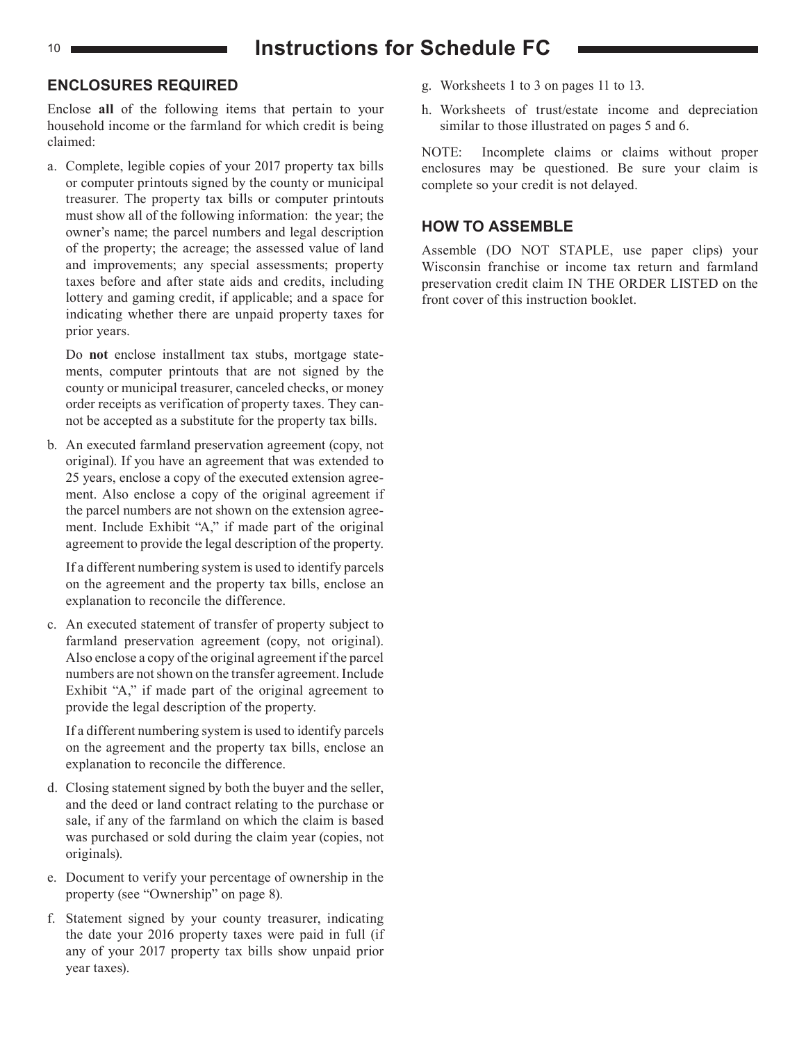## 10 **Instructions for Schedule FC**

#### **ENCLOSURES REQUIRED**

Enclose **all** of the following items that pertain to your household income or the farmland for which credit is being claimed:

a. Complete, legible copies of your 2017 property tax bills or computer printouts signed by the county or municipal treasurer. The property tax bills or computer printouts must show all of the following information: the year; the owner's name; the parcel numbers and legal description of the property; the acreage; the assessed value of land and improvements; any special assessments; property taxes before and after state aids and credits, including lottery and gaming credit, if applicable; and a space for indicating whether there are unpaid property taxes for prior years.

Do **not** enclose installment tax stubs, mortgage statements, computer printouts that are not signed by the county or municipal treasurer, canceled checks, or money order receipts as verification of property taxes. They cannot be accepted as a substitute for the property tax bills.

b. An executed farmland preservation agreement (copy, not original). If you have an agreement that was extended to 25 years, enclose a copy of the executed extension agreement. Also enclose a copy of the original agreement if the parcel numbers are not shown on the extension agreement. Include Exhibit "A," if made part of the original agreement to provide the legal description of the property.

If a different numbering system is used to identify parcels on the agreement and the property tax bills, enclose an explanation to reconcile the difference.

c. An executed statement of transfer of property subject to farmland preservation agreement (copy, not original). Also enclose a copy of the original agreement if the parcel numbers are not shown on the transfer agreement. Include Exhibit "A," if made part of the original agreement to provide the legal description of the property.

If a different numbering system is used to identify parcels on the agreement and the property tax bills, enclose an explanation to reconcile the difference.

- d. Closing statement signed by both the buyer and the seller, and the deed or land contract relating to the purchase or sale, if any of the farmland on which the claim is based was purchased or sold during the claim year (copies, not originals).
- e. Document to verify your percentage of ownership in the property (see "Ownership" on page 8).
- f. Statement signed by your county treasurer, indicating the date your 2016 property taxes were paid in full (if any of your 2017 property tax bills show unpaid prior year taxes).
- g. Worksheets 1 to 3 on pages 11 to 13.
- h. Worksheets of trust/estate income and depreciation similar to those illustrated on pages 5 and 6.

NOTE: Incomplete claims or claims without proper enclosures may be questioned. Be sure your claim is complete so your credit is not delayed.

#### **HOW TO ASSEMBLE**

Assemble (DO NOT STAPLE, use paper clips) your Wisconsin franchise or income tax return and farmland preservation credit claim IN THE ORDER LISTED on the front cover of this instruction booklet.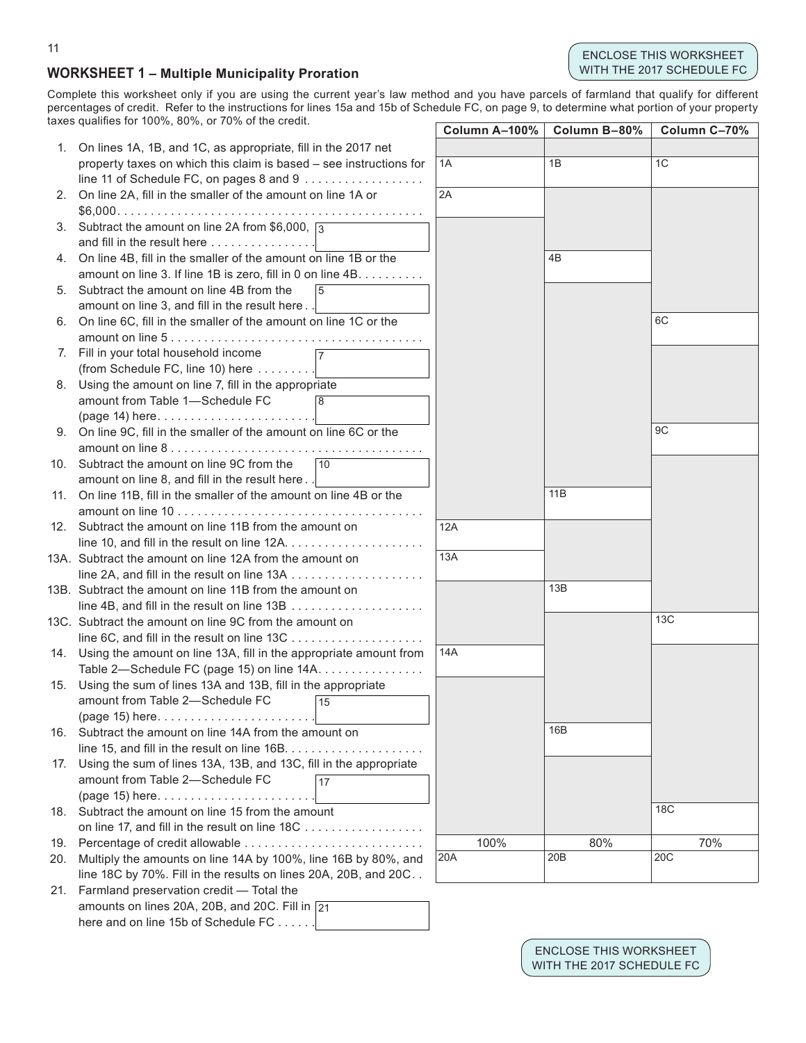#### ENCLOSE THIS WORKSHEET WITH THE 2017 SCHEDULE FC

#### **WORKSHEET 1 – Multiple Municipality Proration**

Complete this worksheet only if you are using the current year's law method and you have parcels of farmland that qualify for different percentages of credit. Refer to the instructions for lines 15a and 15b of Schedule FC, on page 9, to determine what portion of your property taxes qualifes for 100%, 80%, or 70% of the credit.

|    | anco gaamico ior 10070, 0070, 01 1070 or the orcan                    |    | Column A-100% | Column B-80% | Column C-70%    |
|----|-----------------------------------------------------------------------|----|---------------|--------------|-----------------|
|    | 1. On lines 1A, 1B, and 1C, as appropriate, fill in the 2017 net      |    |               |              |                 |
|    | property taxes on which this claim is based - see instructions for    |    | 1A            | 1B           | 1C              |
|    | line 11 of Schedule FC, on pages 8 and 9                              |    |               |              |                 |
|    | 2. On line 2A, fill in the smaller of the amount on line 1A or        |    | 2A            |              |                 |
|    |                                                                       |    |               |              |                 |
|    | 3. Subtract the amount on line 2A from \$6,000, $\sqrt{3}$            |    |               |              |                 |
|    | and fill in the result here                                           |    |               |              |                 |
| 4. | On line 4B, fill in the smaller of the amount on line 1B or the       |    |               | 4B           |                 |
|    | amount on line 3. If line 1B is zero, fill in 0 on line 4B.           |    |               |              |                 |
|    | 5. Subtract the amount on line 4B from the                            | 5  |               |              |                 |
|    | amount on line 3, and fill in the result here.                        |    |               |              |                 |
|    | 6. On line 6C, fill in the smaller of the amount on line 1C or the    |    |               |              | 6C              |
|    |                                                                       |    |               |              |                 |
|    | 7. Fill in your total household income                                |    |               |              |                 |
|    | (from Schedule FC, line 10) here                                      |    |               |              |                 |
|    | 8. Using the amount on line 7, fill in the appropriate                |    |               |              |                 |
|    | amount from Table 1-Schedule FC                                       | 8  |               |              |                 |
|    | $(page 14) here \dots $                                               |    |               |              |                 |
|    | 9. On line 9C, fill in the smaller of the amount on line 6C or the    |    |               |              | 9 <sub>C</sub>  |
|    |                                                                       |    |               |              |                 |
|    | 10. Subtract the amount on line 9C from the                           | 10 |               |              |                 |
|    | amount on line 8, and fill in the result here                         |    |               |              |                 |
|    | 11. On line 11B, fill in the smaller of the amount on line 4B or the  |    |               | 11B          |                 |
|    |                                                                       |    |               |              |                 |
|    | 12. Subtract the amount on line 11B from the amount on                |    | 12A           |              |                 |
|    |                                                                       |    |               |              |                 |
|    | 13A. Subtract the amount on line 12A from the amount on               |    | 13A           |              |                 |
|    |                                                                       |    |               |              |                 |
|    | 13B. Subtract the amount on line 11B from the amount on               |    |               | 13B          |                 |
|    |                                                                       |    |               |              |                 |
|    | 13C. Subtract the amount on line 9C from the amount on                |    |               |              | 13C             |
|    |                                                                       |    |               |              |                 |
|    | 14. Using the amount on line 13A, fill in the appropriate amount from |    | 14A           |              |                 |
|    | Table 2-Schedule FC (page 15) on line 14A.                            |    |               |              |                 |
|    | 15. Using the sum of lines 13A and 13B, fill in the appropriate       |    |               |              |                 |
|    | amount from Table 2-Schedule FC                                       | 15 |               |              |                 |
|    |                                                                       |    |               |              |                 |
|    | 16. Subtract the amount on line 14A from the amount on                |    |               | 16B          |                 |
|    |                                                                       |    |               |              |                 |
|    | 17. Using the sum of lines 13A, 13B, and 13C, fill in the appropriate |    |               |              |                 |
|    | amount from Table 2-Schedule FC                                       | 17 |               |              |                 |
|    | (page 15) here                                                        |    |               |              |                 |
|    | 18. Subtract the amount on line 15 from the amount                    |    |               |              | <b>18C</b>      |
|    | on line 17, and fill in the result on line 18C                        |    |               |              |                 |
|    | 19. Percentage of credit allowable                                    |    | 100%          | 80%          | 70%             |
|    | 20. Multiply the amounts on line 14A by 100%, line 16B by 80%, and    |    | 20A           | 20B          | 20 <sub>C</sub> |
|    | line 18C by 70%. Fill in the results on lines 20A, 20B, and 20C       |    |               |              |                 |
|    | 21. Farmland preservation credit - Total the                          |    |               |              |                 |
|    | amounts on lines 20A, 20B, and 20C. Fill in $\sqrt{21}$               |    |               |              |                 |
|    | here and on line 15b of Schedule FC                                   |    |               |              |                 |

#### 11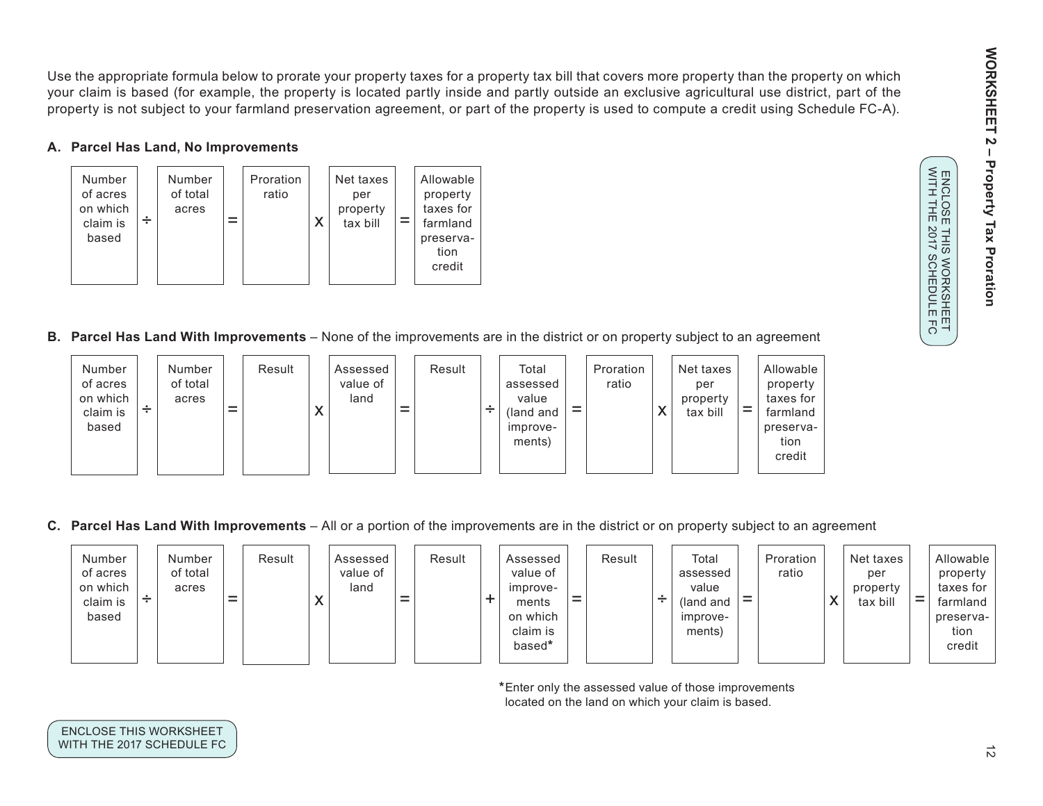WORKSHEET 2 **WORKSHEET 2 – Property Tax Proration**  $\mathbf I$ **Property Tax Proration** ENCLOSE THIS WORKSHEET<br>WITH THE 2017 SCHEDULE FC

WITH THE 2017 SCHEDULE FC ENCLOSE THIS WORKSHEET

Use the appropriate formula below to prorate your property taxes for a property tax bill that covers more property than the property on which your claim is based (for example, the property is located partly inside and partly outside an exclusive agricultural use district, part of the property is not subject to your farmland preservation agreement, or part of the property is used to compute a credit using Schedule FC-A).

#### **A. Parcel Has Land, No Improvements**



**B. Parcel Has Land With Improvements** – None of the improvements are in the district or on property subject to an agreement



**C. Parcel Has Land With Improvements** – All or a portion of the improvements are in the district or on property subject to an agreement



**\***Enter only the assessed value of those improvements located on the land on which your claim is based.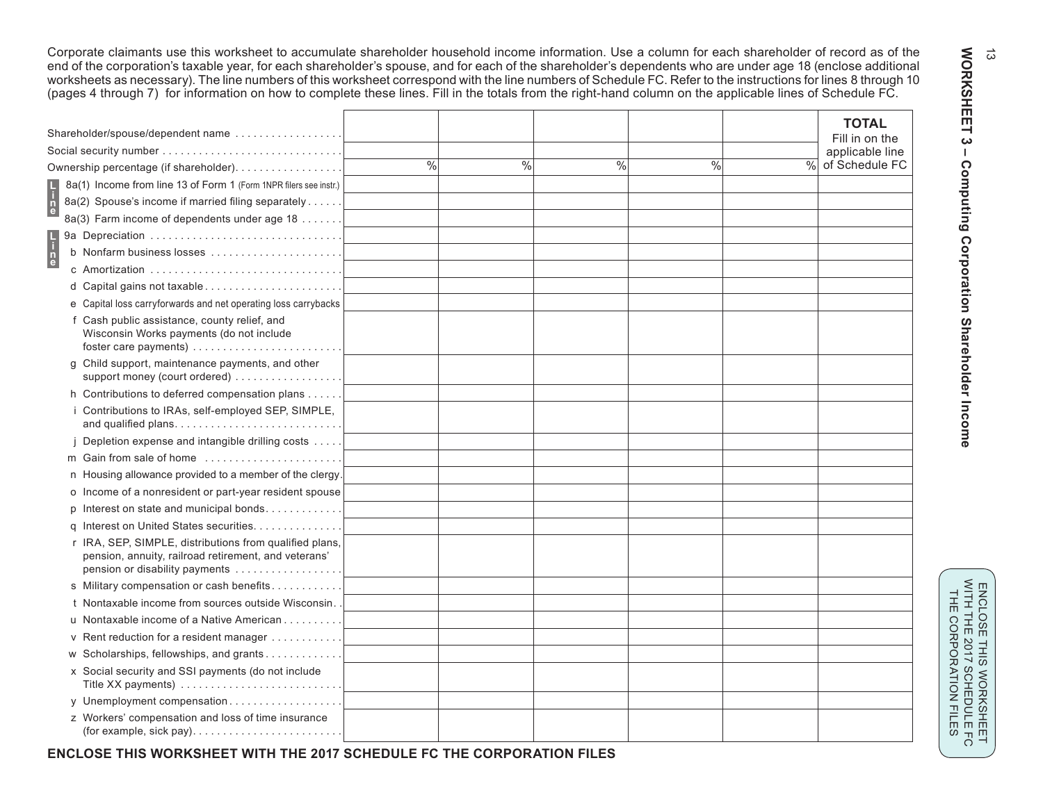Corporate claimants use this worksheet to accumulate shareholder household income information. Use a column for each shareholder of record as of the end of the corporation's taxable year, for each shareholder's spouse, and for each of the shareholder's dependents who are under age 18 (enclose additional worksheets as necessary). The line numbers of this worksheet correspond with the line numbers of Schedule FC. Refer to the instructions for lines 8 through 10 (pages 4 through 7) for information on how to complete these lines. Fill in the totals from the right-hand column on the applicable lines of Schedule FC.

| Shareholder/spouse/dependent name                                                                                                                 |      |      |      |               |      | <b>TOTAL</b><br>Fill in on the |
|---------------------------------------------------------------------------------------------------------------------------------------------------|------|------|------|---------------|------|--------------------------------|
| Social security number                                                                                                                            |      |      |      |               |      | applicable line                |
| Ownership percentage (if shareholder).                                                                                                            | $\%$ | $\%$ | $\%$ | $\frac{0}{0}$ | $\%$ | of Schedule FC                 |
| 8a(1) Income from line 13 of Form 1 (Form 1NPR filers see instr.)                                                                                 |      |      |      |               |      |                                |
| 8a(2) Spouse's income if married filing separately                                                                                                |      |      |      |               |      |                                |
| 8a(3) Farm income of dependents under age 18                                                                                                      |      |      |      |               |      |                                |
| 9a Depreciation                                                                                                                                   |      |      |      |               |      |                                |
| b Nonfarm business losses                                                                                                                         |      |      |      |               |      |                                |
| c Amortization                                                                                                                                    |      |      |      |               |      |                                |
|                                                                                                                                                   |      |      |      |               |      |                                |
| e Capital loss carryforwards and net operating loss carrybacks                                                                                    |      |      |      |               |      |                                |
| f Cash public assistance, county relief, and<br>Wisconsin Works payments (do not include                                                          |      |      |      |               |      |                                |
| g Child support, maintenance payments, and other<br>support money (court ordered)                                                                 |      |      |      |               |      |                                |
| h Contributions to deferred compensation plans                                                                                                    |      |      |      |               |      |                                |
| i Contributions to IRAs, self-employed SEP, SIMPLE,<br>and qualified plans                                                                        |      |      |      |               |      |                                |
| Depletion expense and intangible drilling costs                                                                                                   |      |      |      |               |      |                                |
| m Gain from sale of home                                                                                                                          |      |      |      |               |      |                                |
| n Housing allowance provided to a member of the clergy.                                                                                           |      |      |      |               |      |                                |
| o Income of a nonresident or part-year resident spouse                                                                                            |      |      |      |               |      |                                |
| p Interest on state and municipal bonds                                                                                                           |      |      |      |               |      |                                |
| q Interest on United States securities                                                                                                            |      |      |      |               |      |                                |
| r IRA, SEP, SIMPLE, distributions from qualified plans,<br>pension, annuity, railroad retirement, and veterans'<br>pension or disability payments |      |      |      |               |      |                                |
| s Military compensation or cash benefits                                                                                                          |      |      |      |               |      |                                |
| t Nontaxable income from sources outside Wisconsin.                                                                                               |      |      |      |               |      |                                |
| u Nontaxable income of a Native American                                                                                                          |      |      |      |               |      |                                |
| v Rent reduction for a resident manager                                                                                                           |      |      |      |               |      |                                |
| w Scholarships, fellowships, and grants                                                                                                           |      |      |      |               |      |                                |
| x Social security and SSI payments (do not include<br>Title XX payments)                                                                          |      |      |      |               |      |                                |
| y Unemployment compensation                                                                                                                       |      |      |      |               |      |                                |
| z Workers' compensation and loss of time insurance                                                                                                |      |      |      |               |      |                                |
|                                                                                                                                                   |      |      |      |               |      |                                |

**WORKSHEET 3 - Computing Corporation Shareholder Income** WORKSHEET 3  **– Computing Corporation Shareholder Income**

 $\vec{\omega}$ 

**ENCLOSE THIS WORKSHEET WITH THE 2017 SCHEDULE FC THE CORPORATION FILES**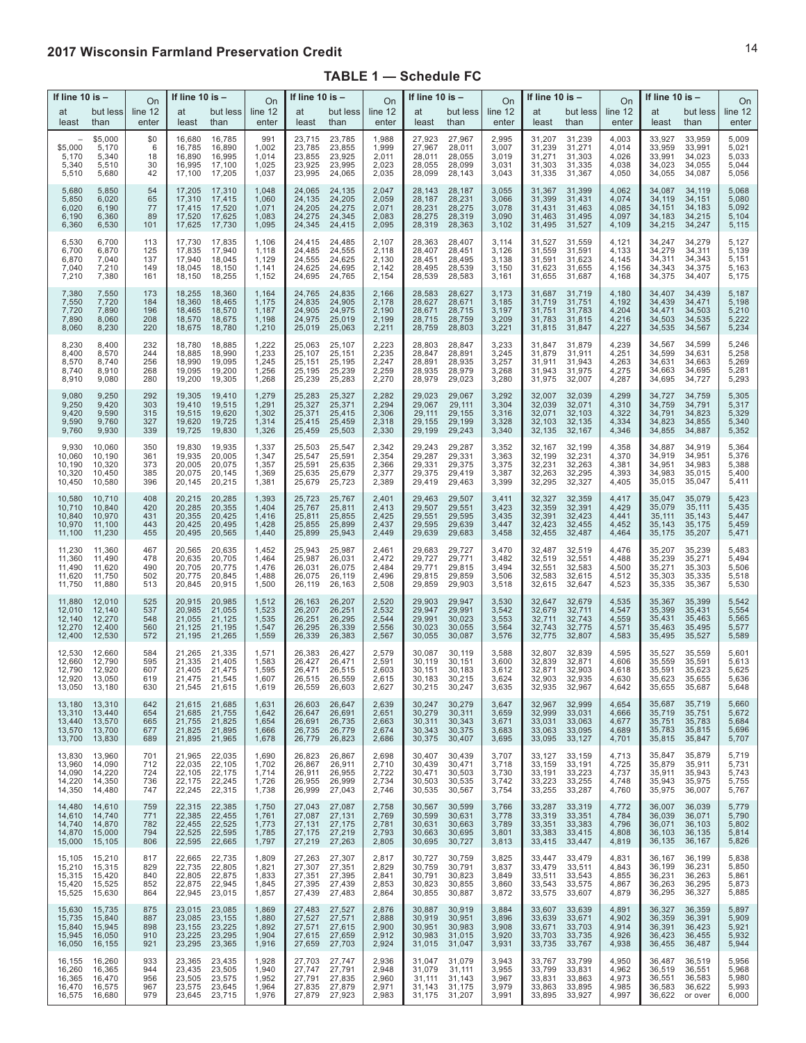#### **2017 Wisconsin Farmland Preservation Credit**

#### **TABLE 1 — Schedule FC**

| If line 10 is $-$                              |                                                | If line 10 is $-$<br>On         |                                                | If line 10 is $-$<br>On                               |                                           | If line 10 is –<br><b>On</b>                   |                                                | If line 10 is $-$<br>On                   |                                                | If line 10 is $-$<br>On                        |                                           |                                                | On                                             |                                           |                                                |                                                |                                           |
|------------------------------------------------|------------------------------------------------|---------------------------------|------------------------------------------------|-------------------------------------------------------|-------------------------------------------|------------------------------------------------|------------------------------------------------|-------------------------------------------|------------------------------------------------|------------------------------------------------|-------------------------------------------|------------------------------------------------|------------------------------------------------|-------------------------------------------|------------------------------------------------|------------------------------------------------|-------------------------------------------|
| at                                             | but less                                       | line 12                         | at                                             | but less l                                            | line 12                                   | at                                             | but less                                       | line 12                                   | at                                             | but less                                       | line 12                                   | at                                             | but less                                       | line 12                                   | at                                             | but less                                       | line 12                                   |
| least                                          | than                                           | enter                           | least                                          | than                                                  | enter                                     | least                                          | than                                           | enter                                     | least                                          | than                                           | enter                                     | least                                          | than                                           | enter                                     | least                                          | than                                           | enter                                     |
| \$5,000<br>5,170<br>5,340<br>5,510             | \$5,000<br>5,170<br>5,340<br>5,510<br>5,680    | \$0<br>6<br>18<br>30<br>42      | 16,680<br>16,785<br>16,890<br>16,995<br>17,100 | 16,785<br>16,890<br>16,995<br>17,100<br>17,205        | 991<br>1,002<br>1,014<br>1,025<br>1,037   | 23,715<br>23,785<br>23,855<br>23,925<br>23,995 | 23,785<br>23,855<br>23,925<br>23,995<br>24,065 | 1,988<br>1,999<br>2,011<br>2,023<br>2,035 | 27,923<br>27,967<br>28,011<br>28,055<br>28,099 | 27,967<br>28,011<br>28,055<br>28,099<br>28,143 | 2,995<br>3,007<br>3,019<br>3,031<br>3,043 | 31,207<br>31,239<br>31,271<br>31,303<br>31,335 | 31,239<br>31,271<br>31,303<br>31,335<br>31,367 | 4,003<br>4,014<br>4,026<br>4,038<br>4,050 | 33,927<br>33,959<br>33,991<br>34,023<br>34,055 | 33,959<br>33,991<br>34,023<br>34,055<br>34,087 | 5,009<br>5,021<br>5,033<br>5,044<br>5,056 |
| 5,680                                          | 5,850                                          | 54                              | 17,205                                         | 17,310                                                | 1,048                                     | 24,065                                         | 24,135                                         | 2,047                                     | 28,143                                         | 28,187                                         | 3,055                                     | 31,367                                         | 31,399                                         | 4,062                                     | 34,087                                         | 34,119                                         | 5,068                                     |
| 5,850                                          | 6,020                                          | 65                              | 17,310                                         | 17,415                                                | 1,060                                     | 24,135                                         | 24,205                                         | 2,059                                     | 28,187                                         | 28,231                                         | 3,066                                     | 31,399                                         | 31,431                                         | 4,074                                     | 34,119                                         | 34,151                                         | 5,080                                     |
| 6,020                                          | 6,190                                          | 77                              | 17,415                                         | 17,520                                                | 1,071                                     | 24,205                                         | 24,275                                         | 2,071                                     | 28,231                                         | 28,275                                         | 3,078                                     | 31,431                                         | 31,463                                         | 4,085                                     | 34,151                                         | 34,183                                         | 5,092                                     |
| 6,190                                          | 6,360                                          | 89                              | 17,520                                         | 17,625                                                | 1,083                                     | 24,275                                         | 24,345                                         | 2,083                                     | 28,275                                         | 28,319                                         | 3,090                                     | 31,463                                         | 31,495                                         | 4,097                                     | 34,183                                         | 34,215                                         | 5,104                                     |
| 6,360                                          | 6,530                                          | 101                             | 17,625                                         | 17,730                                                | 1,095                                     | 24,345                                         | 24,415                                         | 2,095                                     | 28,319                                         | 28,363                                         | 3,102                                     | 31,495                                         | 31,527                                         | 4,109                                     | 34,215                                         | 34,247                                         | 5,115                                     |
| 6,530                                          | 6,700                                          | 113                             | 17,730                                         | 17,835                                                | 1,106                                     | 24,415                                         | 24,485                                         | 2,107                                     | 28,363                                         | 28,407                                         | 3,114                                     | 31,527                                         | 31,559                                         | 4,121                                     | 34,247                                         | 34,279                                         | 5,127                                     |
| 6,700                                          | 6,870                                          | 125                             | 17,835                                         | 17,940                                                | 1,118                                     | 24,485                                         | 24,555                                         | 2,118                                     | 28,407                                         | 28,451                                         | 3,126                                     | 31,559                                         | 31,591                                         | 4,133                                     | 34,279                                         | 34,311                                         | 5,139                                     |
| 6,870                                          | 7,040                                          | 137                             | 17,940                                         | 18,045                                                | 1,129                                     | 24,555                                         | 24,625                                         | 2,130                                     | 28,451                                         | 28,495                                         | 3,138                                     | 31,591                                         | 31,623                                         | 4,145                                     | 34,311                                         | 34,343                                         | 5,151                                     |
| 7,040                                          | 7,210                                          | 149                             | 18,045                                         | 18,150                                                | 1,141                                     | 24,625                                         | 24,695                                         | 2,142                                     | 28,495                                         | 28,539                                         | 3,150                                     | 31,623                                         | 31,655                                         | 4,156                                     | 34,343                                         | 34,375                                         | 5,163                                     |
| 7,210                                          | 7,380                                          | 161                             | 18,150                                         | 18,255                                                | 1,152                                     | 24,695                                         | 24,765                                         | 2,154                                     | 28,539                                         | 28,583                                         | 3,161                                     | 31,655                                         | 31,687                                         | 4,168                                     | 34,375                                         | 34,407                                         | 5,175                                     |
| 7,380                                          | 7,550                                          | 173                             | 18,255                                         | 18,360                                                | 1,164                                     | 24,765                                         | 24,835                                         | 2,166                                     | 28,583                                         | 28,627                                         | 3,173                                     | 31,687                                         | 31,719                                         | 4,180                                     | 34,407                                         | 34,439                                         | 5,187                                     |
| 7,550                                          | 7,720                                          | 184                             | 18,360                                         | 18,465                                                | 1,175                                     | 24,835                                         | 24,905                                         | 2,178                                     | 28,627                                         | 28,671                                         | 3,185                                     | 31,719                                         | 31,751                                         | 4,192                                     | 34,439                                         | 34,471                                         | 5,198                                     |
| 7,720                                          | 7,890                                          | 196                             | 18,465                                         | 18,570                                                | 1,187                                     | 24,905                                         | 24,975                                         | 2,190                                     | 28,671                                         | 28,715                                         | 3,197                                     | 31,751                                         | 31,783                                         | 4,204                                     | 34,471                                         | 34,503                                         | 5,210                                     |
| 7,890                                          | 8,060                                          | 208                             | 18,570                                         | 18,675                                                | 1,198                                     | 24,975                                         | 25,019                                         | 2,199                                     | 28,715                                         | 28,759                                         | 3,209                                     | 31,783                                         | 31,815                                         | 4,216                                     | 34,503                                         | 34,535                                         | 5,222                                     |
| 8,060                                          | 8,230                                          | 220                             | 18,675                                         | 18,780                                                | 1,210                                     | 25,019                                         | 25,063                                         | 2,211                                     | 28,759                                         | 28,803                                         | 3,221                                     | 31,815                                         | 31,847                                         | 4,227                                     | 34,535                                         | 34,567                                         | 5,234                                     |
| 8,230                                          | 8,400                                          | 232                             | 18,780                                         | 18,885                                                | 1,222                                     | 25,063                                         | 25,107                                         | 2,223                                     | 28,803                                         | 28,847                                         | 3,233                                     | 31,847                                         | 31,879                                         | 4,239                                     | 34,567                                         | 34,599                                         | 5,246                                     |
| 8,400                                          | 8,570                                          | 244                             | 18,885                                         | 18,990                                                | 1,233                                     | 25,107                                         | 25,151                                         | 2,235                                     | 28,847                                         | 28,891                                         | 3,245                                     | 31,879                                         | 31,911                                         | 4,251                                     | 34,599                                         | 34,631                                         | 5,258                                     |
| 8,570                                          | 8,740                                          | 256                             | 18,990                                         | 19,095                                                | 1,245                                     | 25,151                                         | 25,195                                         | 2,247                                     | 28,891                                         | 28,935                                         | 3,257                                     | 31,911                                         | 31,943                                         | 4,263                                     | 34,631                                         | 34,663                                         | 5,269                                     |
| 8,740                                          | 8,910                                          | 268                             | 19,095                                         | 19,200                                                | 1,256                                     | 25,195                                         | 25,239                                         | 2,259                                     | 28,935                                         | 28,979                                         | 3,268                                     | 31,943                                         | 31,975                                         | 4,275                                     | 34,663                                         | 34,695                                         | 5,281                                     |
| 8,910                                          | 9,080                                          | 280                             | 19,200                                         | 19,305                                                | 1,268                                     | 25,239                                         | 25,283                                         | 2,270                                     | 28,979                                         | 29,023                                         | 3,280                                     | 31,975                                         | 32,007                                         | 4,287                                     | 34,695                                         | 34,727                                         | 5,293                                     |
| 9,080                                          | 9,250                                          | 292                             | 19,305                                         | 19,410                                                | 1,279                                     | 25,283                                         | 25,327                                         | 2,282                                     | 29,023                                         | 29,067                                         | 3,292                                     | 32,007                                         | 32,039                                         | 4,299                                     | 34,727                                         | 34,759                                         | 5,305                                     |
| 9,250                                          | 9,420                                          | 303                             | 19,410                                         | 19,515                                                | 1,291                                     | 25,327                                         | 25,371                                         | 2,294                                     | 29,067                                         | 29,111                                         | 3,304                                     | 32,039                                         | 32,071                                         | 4,310                                     | 34,759                                         | 34,791                                         | 5,317                                     |
| 9,420                                          | 9,590                                          | 315                             | 19,515                                         | 19,620                                                | 1,302                                     | 25,371                                         | 25,415                                         | 2,306                                     | 29,111                                         | 29,155                                         | 3,316                                     | 32,071                                         | 32,103                                         | 4,322                                     | 34,791                                         | 34,823                                         | 5,329                                     |
| 9,590                                          | 9,760                                          | 327                             | 19,620                                         | 19,725                                                | 1,314                                     | 25,415                                         | 25,459                                         | 2,318                                     | 29,155                                         | 29,199                                         | 3,328                                     | 32,103                                         | 32,135                                         | 4,334                                     | 34,823                                         | 34,855                                         | 5,340                                     |
| 9,760                                          | 9,930                                          | 339                             | 19,725                                         | 19,830                                                | 1,326                                     | 25,459                                         | 25,503                                         | 2,330                                     | 29,199                                         | 29,243                                         | 3,340                                     | 32,135                                         | 32,167                                         | 4,346                                     | 34,855                                         | 34,887                                         | 5,352                                     |
| 9,930                                          | 10,060                                         | 350                             | 19,830                                         | 19,935                                                | 1,337                                     | 25,503                                         | 25,547                                         | 2,342                                     | 29,243                                         | 29,287                                         | 3,352                                     | 32,167                                         | 32,199                                         | 4,358                                     | 34,887                                         | 34,919                                         | 5,364                                     |
| 10,060                                         | 10,190                                         | 361                             | 19,935                                         | 20,005                                                | 1,347                                     | 25,547                                         | 25,591                                         | 2,354                                     | 29,287                                         | 29,331                                         | 3,363                                     | 32,199                                         | 32,231                                         | 4,370                                     | 34,919                                         | 34,951                                         | 5,376                                     |
| 10,190                                         | 10,320                                         | 373                             | 20,005                                         | 20,075                                                | 1,357                                     | 25,591                                         | 25,635                                         | 2,366                                     | 29,331                                         | 29,375                                         | 3,375                                     | 32,231                                         | 32,263                                         | 4,381                                     | 34,951                                         | 34,983                                         | 5,388                                     |
| 10,320                                         | 10,450                                         | 385                             | 20,075                                         | 20,145                                                | 1,369                                     | 25,635                                         | 25,679                                         | 2,377                                     | 29,375                                         | 29,419                                         | 3,387                                     | 32,263                                         | 32,295                                         | 4,393                                     | 34,983                                         | 35,015                                         | 5,400                                     |
| 10,450                                         | 10,580                                         | 396                             | 20,145                                         | 20,215                                                | 1,381                                     | 25,679                                         | 25,723                                         | 2,389                                     | 29,419                                         | 29,463                                         | 3,399                                     | 32,295                                         | 32,327                                         | 4,405                                     | 35,015                                         | 35,047                                         | 5,411                                     |
| 10,580                                         | 10,710                                         | 408                             | 20,215                                         | 20,285                                                | 1,393                                     | 25,723                                         | 25,767                                         | 2,401                                     | 29,463                                         | 29,507                                         | 3,411                                     | 32,327                                         | 32,359                                         | 4,417                                     | 35,047                                         | 35,079                                         | 5,423                                     |
| 10,710                                         | 10,840                                         | 420                             | 20,285                                         | 20,355                                                | 1,404                                     | 25,767                                         | 25,811                                         | 2,413                                     | 29,507                                         | 29,551                                         | 3,423                                     | 32,359                                         | 32,391                                         | 4,429                                     | 35,079                                         | 35,111                                         | 5,435                                     |
| 10,840                                         | 10,970                                         | 431                             | 20,355                                         | 20,425                                                | 1,416                                     | 25,811                                         | 25,855                                         | 2,425                                     | 29,551                                         | 29,595                                         | 3,435                                     | 32,391                                         | 32,423                                         | 4,441                                     | 35,111                                         | 35,143                                         | 5,447                                     |
| 10,970                                         | 11,100                                         | 443                             | 20,425                                         | 20,495                                                | 1,428                                     | 25,855                                         | 25,899                                         | 2,437                                     | 29,595                                         | 29,639                                         | 3,447                                     | 32,423                                         | 32,455                                         | 4,452                                     | 35,143                                         | 35,175                                         | 5,459                                     |
| 11,100                                         | 11,230                                         | 455                             | 20,495                                         | 20,565                                                | 1,440                                     | 25,899                                         | 25,943                                         | 2,449                                     | 29,639                                         | 29,683                                         | 3,458                                     | 32,455                                         | 32,487                                         | 4,464                                     | 35,175                                         | 35,207                                         | 5,471                                     |
| 11,230                                         | 11,360                                         | 467                             | 20,565                                         | 20,635                                                | 1,452                                     | 25,943                                         | 25,987                                         | 2,461                                     | 29,683                                         | 29,727                                         | 3,470                                     | 32,487                                         | 32,519                                         | 4,476                                     | 35,207                                         | 35,239                                         | 5,483                                     |
| 11,360                                         | 11,490                                         | 478                             | 20,635                                         | 20,705                                                | 1,464                                     | 25,987                                         | 26,031                                         | 2,472                                     | 29,727                                         | 29,771                                         | 3,482                                     | 32,519                                         | 32,551                                         | 4,488                                     | 35,239                                         | 35,271                                         | 5,494                                     |
| 11,490                                         | 11,620                                         | 490                             | 20,705                                         | 20,775                                                | 1,476                                     | 26,031                                         | 26,075                                         | 2,484                                     | 29,771                                         | 29,815                                         | 3,494                                     | 32,551                                         | 32,583                                         | 4,500                                     | 35,271                                         | 35,303                                         | 5,506                                     |
| 11,620                                         | 11,750                                         | 502                             | 20,775                                         | 20,845                                                | 1,488                                     | 26,075                                         | 26,119                                         | 2,496                                     | 29,815                                         | 29,859                                         | 3,506                                     | 32,583                                         | 32,615                                         | 4,512                                     | 35,303                                         | 35,335                                         | 5,518                                     |
| 11,750                                         | 11,880                                         | 513                             | 20,845                                         | 20,915                                                | 1,500                                     | 26,119                                         | 26,163                                         | 2,508                                     | 29,859                                         | 29,903                                         | 3,518                                     | 32,615                                         | 32,647                                         | 4,523                                     | 35,335                                         | 35,367                                         | 5,530                                     |
| 11,880                                         | 12,010                                         | 525                             | 20,915                                         | 20,985                                                | 1,512                                     | 26,163                                         | 26,207                                         | 2,520                                     | 29,903                                         | 29,947                                         | 3,530                                     | 32,647                                         | 32,679                                         | 4,535                                     | 35,367                                         | 35,399                                         | 5,542                                     |
| 12,010                                         | 12,140                                         | 537                             | 20.985                                         | 21,055                                                | 1,523                                     | 26,207                                         | 26,251                                         | 2,532                                     | 29,947                                         | 29,991                                         | 3,542                                     | 32,679                                         | 32,711                                         | 4,547                                     | 35,399                                         | 35,431                                         | 5,554                                     |
| 12,140                                         | 12,270                                         | 548                             | 21,055                                         | 21,125                                                | 1,535                                     | 26,251                                         | 26,295                                         | 2,544                                     | 29,991                                         | 30,023                                         | 3,553                                     | 32,711                                         | 32,743                                         | 4,559                                     | 35,431                                         | 35,463                                         | 5,565                                     |
| 12,270                                         | 12,400                                         | 560                             | 21,125                                         | 21,195                                                | 1,547                                     | 26,295                                         | 26,339                                         | 2,556                                     | 30,023                                         | 30,055                                         | 3,564                                     | 32,743                                         | 32,775                                         | 4,571                                     | 35,463                                         | 35,495                                         | 5,577                                     |
| 12,400                                         | 12,530                                         | 572                             | 21,195                                         | 21,265                                                | 1,559                                     | 26,339                                         | 26,383                                         | 2,567                                     | 30,055                                         | 30,087                                         | 3,576                                     | 32,775                                         | 32,807                                         | 4,583                                     | 35,495                                         | 35,527                                         | 5,589                                     |
| 12,530<br>12,660<br>12,790<br>12,920<br>13,050 | 12,660<br>12,790<br>12,920<br>13,050<br>13,180 | 584<br>595<br>607<br>619<br>630 | 21,265<br>21,335<br>21,405<br>21,475           | 21,335<br>21,405<br>21,475<br>21,545<br>21,545 21,615 | 1,571<br>1,583<br>1,595<br>1,607<br>1,619 | 26,383<br>26,427<br>26,471<br>26,515<br>26,559 | 26,427<br>26,471<br>26,515<br>26,559<br>26,603 | 2,579<br>2,591<br>2,603<br>2,615<br>2,627 | 30,087<br>30,119<br>30,151<br>30,183<br>30,215 | 30,119<br>30,151<br>30,183<br>30,215<br>30,247 | 3,588<br>3,600<br>3,612<br>3,624<br>3,635 | 32,807<br>32,839<br>32,871<br>32,903<br>32,935 | 32,839<br>32,871<br>32,903<br>32,935<br>32,967 | 4,595<br>4,606<br>4,618<br>4,630<br>4,642 | 35,527<br>35,559<br>35,591<br>35,623<br>35,655 | 35,559<br>35,591<br>35,623<br>35,655<br>35,687 | 5,601<br>5,613<br>5,625<br>5,636<br>5,648 |
| 13,180                                         | 13,310                                         | 642                             | 21,615                                         | 21,685                                                | 1,631                                     | 26,603                                         | 26,647                                         | 2,639                                     | 30,247                                         | 30,279                                         | 3,647                                     | 32,967                                         | 32,999                                         | 4,654                                     | 35,687                                         | 35,719                                         | 5,660                                     |
| 13,310                                         | 13,440                                         | 654                             | 21,685                                         | 21,755                                                | 1,642                                     | 26,647                                         | 26,691                                         | 2,651                                     | 30,279                                         | 30,311                                         | 3,659                                     | 32,999                                         | 33,031                                         | 4,666                                     | 35,719                                         | 35,751                                         | 5,672                                     |
| 13,440                                         | 13,570                                         | 665                             | 21,755                                         | 21,825                                                | 1,654                                     | 26,691                                         | 26,735                                         | 2,663                                     | 30,311                                         | 30,343                                         | 3,671                                     | 33,031                                         | 33,063                                         | 4,677                                     | 35,751                                         | 35,783                                         | 5,684                                     |
| 13,570                                         | 13,700                                         | 677                             | 21,825                                         | 21,895                                                | 1,666                                     | 26,735                                         | 26,779                                         | 2,674                                     | 30,343                                         | 30,375                                         | 3,683                                     | 33,063                                         | 33,095                                         | 4,689                                     | 35,783                                         | 35,815                                         | 5,696                                     |
| 13,700                                         | 13,830                                         | 689                             | 21,895                                         | 21,965                                                | 1,678                                     | 26,779                                         | 26,823                                         | 2,686                                     | 30,375                                         | 30,407                                         | 3,695                                     | 33,095                                         | 33,127                                         | 4,701                                     | 35,815                                         | 35,847                                         | 5,707                                     |
| 13,830                                         | 13,960                                         | 701                             | 21,965                                         | 22,035                                                | 1,690                                     | 26,823                                         | 26,867                                         | 2,698                                     | 30,407                                         | 30,439                                         | 3,707                                     | 33,127                                         | 33,159                                         | 4,713                                     | 35,847                                         | 35,879                                         | 5,719                                     |
| 13,960                                         | 14,090                                         | 712                             | 22,035                                         | 22,105                                                | 1,702                                     | 26,867                                         | 26,911                                         | 2,710                                     | 30,439                                         | 30,471                                         | 3,718                                     | 33,159                                         | 33,191                                         | 4,725                                     | 35,879                                         | 35,911                                         | 5,731                                     |
| 14,090                                         | 14,220                                         | 724                             | 22,105                                         | 22,175                                                | 1,714                                     | 26,911                                         | 26,955                                         | 2,722                                     | 30,471                                         | 30,503                                         | 3,730                                     | 33,191                                         | 33,223                                         | 4,737                                     | 35,911                                         | 35,943                                         | 5,743                                     |
| 14,220                                         | 14,350                                         | 736                             | 22,175                                         | 22,245                                                | 1,726                                     | 26,955                                         | 26,999                                         | 2,734                                     | 30,503                                         | 30,535                                         | 3,742                                     | 33,223                                         | 33,255                                         | 4,748                                     | 35,943                                         | 35,975                                         | 5,755                                     |
| 14,350                                         | 14,480                                         | 747                             | 22,245                                         | 22,315                                                | 1,738                                     | 26,999                                         | 27,043                                         | 2,746                                     | 30,535                                         | 30,567                                         | 3,754                                     | 33,255                                         | 33,287                                         | 4,760                                     | 35,975                                         | 36,007                                         | 5,767                                     |
| 14,480                                         | 14,610                                         | 759                             | 22,315                                         | 22,385                                                | 1,750                                     | 27,043                                         | 27,087                                         | 2,758                                     | 30,567                                         | 30,599                                         | 3,766                                     | 33,287                                         | 33,319                                         | 4,772                                     | 36,007                                         | 36,039                                         | 5,779                                     |
| 14,610                                         | 14,740                                         | 771                             | 22,385                                         | 22,455                                                | 1,761                                     | 27,087                                         | 27,131                                         | 2,769                                     | 30,599                                         | 30,631                                         | 3,778                                     | 33,319                                         | 33,351                                         | 4,784                                     | 36,039                                         | 36,071                                         | 5,790                                     |
| 14,740                                         | 14,870                                         | 782                             | 22,455                                         | 22,525                                                | 1,773                                     | 27,131                                         | 27,175                                         | 2,781                                     | 30,631                                         | 30,663                                         | 3,789                                     | 33,351                                         | 33,383                                         | 4,796                                     | 36,071                                         | 36,103                                         | 5,802                                     |
| 14,870                                         | 15,000                                         | 794                             | 22,525                                         | 22,595                                                | 1,785                                     | 27,175                                         | 27,219                                         | 2,793                                     | 30,663                                         | 30,695                                         | 3,801                                     | 33,383                                         | 33,415                                         | 4,808                                     | 36,103                                         | 36,135                                         | 5,814                                     |
| 15,000                                         | 15,105                                         | 806                             | 22,595                                         | 22,665                                                | 1,797                                     | 27,219                                         | 27,263                                         | 2,805                                     | 30,695                                         | 30,727                                         | 3,813                                     | 33,415                                         | 33,447                                         | 4,819                                     | 36,135                                         | 36,167                                         | 5,826                                     |
| 15,105                                         | 15,210                                         | 817                             | 22,665                                         | 22,735                                                | 1,809                                     | 27,263                                         | 27,307                                         | 2,817                                     | 30,727                                         | 30,759                                         | 3,825                                     | 33,447                                         | 33,479                                         | 4,831                                     | 36,167                                         | 36,199                                         | 5,838                                     |
| 15,210                                         | 15,315                                         | 829                             | 22,735                                         | 22,805                                                | 1,821                                     | 27,307                                         | 27,351                                         | 2,829                                     | 30,759                                         | 30,791                                         | 3,837                                     | 33,479                                         | 33,511                                         | 4,843                                     | 36,199                                         | 36,231                                         | 5,850                                     |
| 15,315                                         | 15,420                                         | 840                             | 22,805                                         | 22,875                                                | 1,833                                     | 27,351                                         | 27,395                                         | 2,841                                     | 30,791                                         | 30,823                                         | 3,849                                     | 33,511                                         | 33,543                                         | 4,855                                     | 36,231                                         | 36,263                                         | 5,861                                     |
| 15,420                                         | 15,525                                         | 852                             | 22,875                                         | 22,945                                                | 1,845                                     | 27,395                                         | 27,439                                         | 2,853                                     | 30,823                                         | 30,855                                         | 3,860                                     | 33,543                                         | 33,575                                         | 4,867                                     | 36,263                                         | 36,295                                         | 5,873                                     |
| 15,525                                         | 15,630                                         | 864                             | 22,945                                         | 23,015                                                | 1,857                                     | 27,439                                         | 27,483                                         | 2,864                                     | 30,855                                         | 30,887                                         | 3,872                                     | 33,575                                         | 33,607                                         | 4,879                                     | 36,295                                         | 36,327                                         | 5,885                                     |
| 15,630                                         | 15,735                                         | 875                             | 23,015                                         | 23,085                                                | 1,869                                     | 27,483                                         | 27,527                                         | 2,876                                     | 30,887                                         | 30,919                                         | 3,884                                     | 33,607                                         | 33,639                                         | 4,891                                     | 36,327                                         | 36,359                                         | 5,897                                     |
| 15,735                                         | 15,840                                         | 887                             | 23,085                                         | 23,155                                                | 1,880                                     | 27,527                                         | 27,571                                         | 2,888                                     | 30,919                                         | 30,951                                         | 3,896                                     | 33,639                                         | 33,671                                         | 4,902                                     | 36,359                                         | 36,391                                         | 5,909                                     |
| 15,840                                         | 15,945                                         | 898                             | 23,155                                         | 23,225                                                | 1,892                                     | 27,571                                         | 27,615                                         | 2,900                                     | 30,951                                         | 30,983                                         | 3,908                                     | 33,671                                         | 33,703                                         | 4,914                                     | 36,391                                         | 36,423                                         | 5,921                                     |
| 15,945                                         | 16,050                                         | 910                             | 23,225                                         | 23,295                                                | 1,904                                     | 27,615                                         | 27,659                                         | 2,912                                     | 30,983                                         | 31,015                                         | 3,920                                     | 33,703                                         | 33,735                                         | 4,926                                     | 36,423                                         | 36,455                                         | 5,932                                     |
| 16,050                                         | 16,155                                         | 921                             | 23,295                                         | 23,365                                                | 1,916                                     | 27,659                                         | 27,703                                         | 2,924                                     | 31,015                                         | 31,047                                         | 3,931                                     | 33,735                                         | 33,767                                         | 4,938                                     | 36,455                                         | 36,487                                         | 5,944                                     |
| 16,155                                         | 16,260                                         | 933                             | 23,365                                         | 23,435                                                | 1,928                                     | 27,703                                         | 27,747                                         | 2,936                                     | 31,047                                         | 31,079                                         | 3,943                                     | 33,767                                         | 33,799                                         | 4,950                                     | 36,487                                         | 36,519                                         | 5,956                                     |
| 16,260                                         | 16,365                                         | 944                             | 23,435                                         | 23,505                                                | 1,940                                     | 27,747                                         | 27,791                                         | 2,948                                     | 31,079                                         | 31,111                                         | 3,955                                     | 33,799                                         | 33,831                                         | 4,962                                     | 36,519                                         | 36,551                                         | 5,968                                     |
| 16,365                                         | 16,470                                         | 956                             | 23,505                                         | 23,575                                                | 1,952                                     | 27,791                                         | 27,835                                         | 2,960                                     | 31,111                                         | 31,143                                         | 3,967                                     | 33,831                                         | 33,863                                         | 4,973                                     | 36,551                                         | 36,583                                         | 5,980                                     |
| 16,470                                         | 16,575                                         | 967                             | 23,575                                         | 23,645                                                | 1,964                                     | 27,835                                         | 27,879                                         | 2,971                                     | 31,143                                         | 31,175                                         | 3,979                                     | 33,863                                         | 33,895                                         | 4,985                                     | 36,583                                         | 36,622                                         | 5,993                                     |
| 16,575                                         | 16,680                                         | 979                             | 23,645                                         | 23,715                                                | 1,976                                     | 27,879                                         | 27,923                                         | 2,983                                     | 31,175                                         | 31,207                                         | 3,991                                     | 33,895                                         | 33,927                                         | 4,997                                     | 36,622                                         | or over                                        | 6,000                                     |